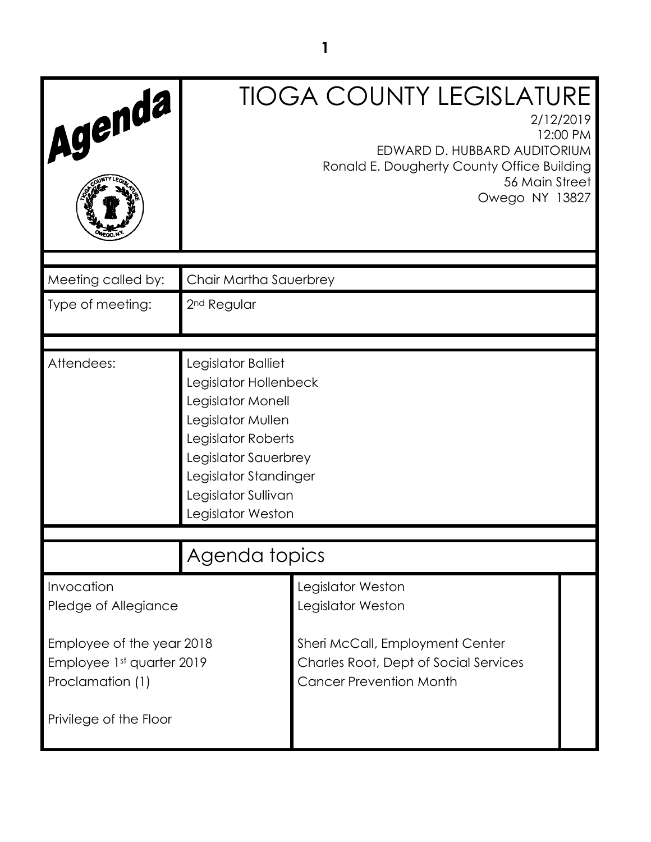| Agenda                                                          |                                                                                                                                                                                                          | <b>TIOGA COUNTY LEGISLATURE</b><br>2/12/2019<br>12:00 PM<br>EDWARD D. HUBBARD AUDITORIUM<br>Ronald E. Dougherty County Office Building<br>56 Main Street<br>Owego NY 13827 |  |
|-----------------------------------------------------------------|----------------------------------------------------------------------------------------------------------------------------------------------------------------------------------------------------------|----------------------------------------------------------------------------------------------------------------------------------------------------------------------------|--|
| Meeting called by:                                              | Chair Martha Sauerbrey                                                                                                                                                                                   |                                                                                                                                                                            |  |
| Type of meeting:                                                | 2 <sup>nd</sup> Regular                                                                                                                                                                                  |                                                                                                                                                                            |  |
| Attendees:                                                      | Legislator Balliet<br>Legislator Hollenbeck<br>Legislator Monell<br>Legislator Mullen<br>Legislator Roberts<br>Legislator Sauerbrey<br>Legislator Standinger<br>Legislator Sullivan<br>Legislator Weston |                                                                                                                                                                            |  |
|                                                                 | Agenda topics                                                                                                                                                                                            |                                                                                                                                                                            |  |
| Invocation<br>Pledge of Allegiance<br>Employee of the year 2018 |                                                                                                                                                                                                          | Legislator Weston<br>Legislator Weston<br>Sheri McCall, Employment Center                                                                                                  |  |
| Employee 1st quarter 2019<br>Proclamation (1)                   |                                                                                                                                                                                                          | <b>Charles Root, Dept of Social Services</b><br><b>Cancer Prevention Month</b>                                                                                             |  |
| Privilege of the Floor                                          |                                                                                                                                                                                                          |                                                                                                                                                                            |  |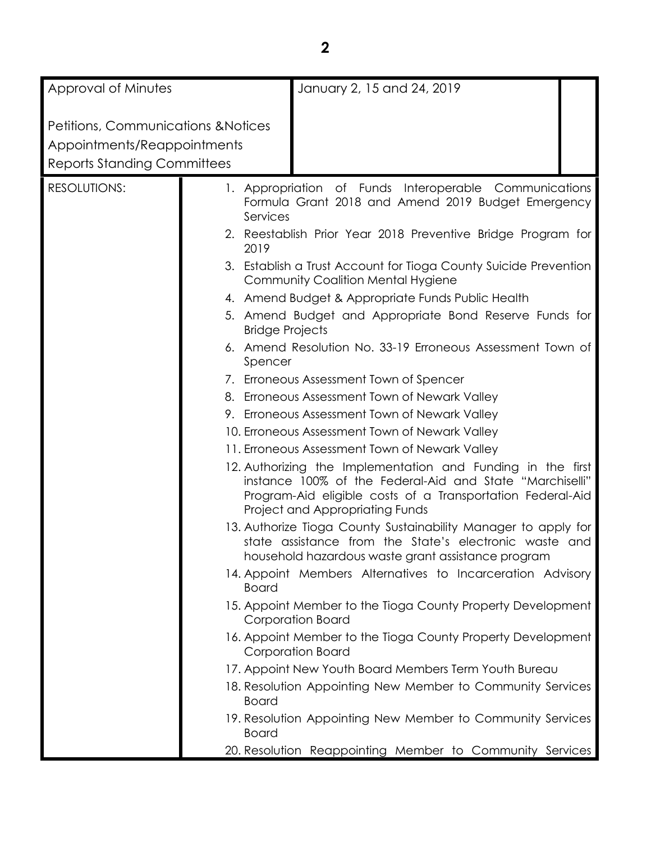| Approval of Minutes                            |                                               | January 2, 15 and 24, 2019                                                                                                                                                                                                                                                                                                                                                                                   |  |
|------------------------------------------------|-----------------------------------------------|--------------------------------------------------------------------------------------------------------------------------------------------------------------------------------------------------------------------------------------------------------------------------------------------------------------------------------------------------------------------------------------------------------------|--|
|                                                |                                               |                                                                                                                                                                                                                                                                                                                                                                                                              |  |
| <b>Petitions, Communications &amp; Notices</b> |                                               |                                                                                                                                                                                                                                                                                                                                                                                                              |  |
| Appointments/Reappointments                    |                                               |                                                                                                                                                                                                                                                                                                                                                                                                              |  |
| <b>Reports Standing Committees</b>             |                                               |                                                                                                                                                                                                                                                                                                                                                                                                              |  |
| <b>RESOLUTIONS:</b>                            | Services<br>2019                              | 1. Appropriation of Funds Interoperable Communications<br>Formula Grant 2018 and Amend 2019 Budget Emergency<br>2. Reestablish Prior Year 2018 Preventive Bridge Program for<br>3. Establish a Trust Account for Tioga County Suicide Prevention<br><b>Community Coalition Mental Hygiene</b><br>4. Amend Budget & Appropriate Funds Public Health<br>5. Amend Budget and Appropriate Bond Reserve Funds for |  |
|                                                | <b>Bridge Projects</b>                        |                                                                                                                                                                                                                                                                                                                                                                                                              |  |
|                                                | Spencer                                       | 6. Amend Resolution No. 33-19 Erroneous Assessment Town of                                                                                                                                                                                                                                                                                                                                                   |  |
|                                                |                                               | 7. Erroneous Assessment Town of Spencer                                                                                                                                                                                                                                                                                                                                                                      |  |
|                                                |                                               | 8. Erroneous Assessment Town of Newark Valley                                                                                                                                                                                                                                                                                                                                                                |  |
|                                                | 9. Erroneous Assessment Town of Newark Valley |                                                                                                                                                                                                                                                                                                                                                                                                              |  |
|                                                |                                               | 10. Erroneous Assessment Town of Newark Valley                                                                                                                                                                                                                                                                                                                                                               |  |
|                                                |                                               | 11. Erroneous Assessment Town of Newark Valley                                                                                                                                                                                                                                                                                                                                                               |  |
|                                                |                                               | 12. Authorizing the Implementation and Funding in the first<br>instance 100% of the Federal-Aid and State "Marchiselli"<br>Program-Aid eligible costs of a Transportation Federal-Aid<br>Project and Appropriating Funds                                                                                                                                                                                     |  |
|                                                |                                               | 13. Authorize Tioga County Sustainability Manager to apply for<br>state assistance from the State's electronic waste and<br>household hazardous waste grant assistance program                                                                                                                                                                                                                               |  |
|                                                | <b>Board</b>                                  | 14. Appoint Members Alternatives to Incarceration Advisory                                                                                                                                                                                                                                                                                                                                                   |  |
|                                                |                                               | 15. Appoint Member to the Tioga County Property Development<br>Corporation Board                                                                                                                                                                                                                                                                                                                             |  |
|                                                |                                               | 16. Appoint Member to the Tioga County Property Development<br>Corporation Board                                                                                                                                                                                                                                                                                                                             |  |
|                                                |                                               | 17. Appoint New Youth Board Members Term Youth Bureau                                                                                                                                                                                                                                                                                                                                                        |  |
|                                                | <b>Board</b>                                  | 18. Resolution Appointing New Member to Community Services                                                                                                                                                                                                                                                                                                                                                   |  |
|                                                | <b>Board</b>                                  | 19. Resolution Appointing New Member to Community Services                                                                                                                                                                                                                                                                                                                                                   |  |
|                                                |                                               | 20. Resolution Reappointing Member to Community Services                                                                                                                                                                                                                                                                                                                                                     |  |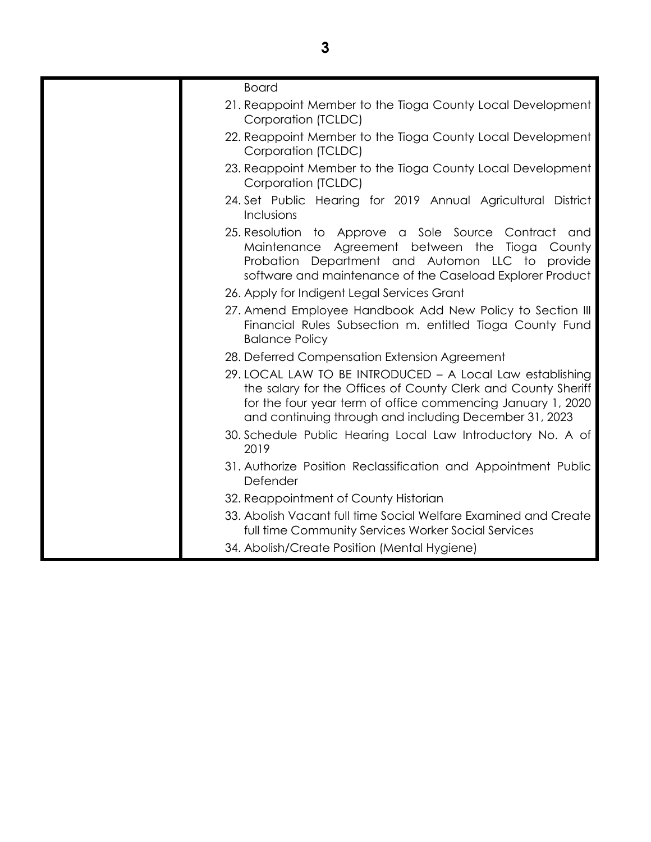| <b>Board</b>                                                                                                                                                                                                                                        |
|-----------------------------------------------------------------------------------------------------------------------------------------------------------------------------------------------------------------------------------------------------|
| 21. Reappoint Member to the Tioga County Local Development<br>Corporation (TCLDC)                                                                                                                                                                   |
| 22. Reappoint Member to the Tioga County Local Development<br>Corporation (TCLDC)                                                                                                                                                                   |
| 23. Reappoint Member to the Tioga County Local Development<br>Corporation (TCLDC)                                                                                                                                                                   |
| 24. Set Public Hearing for 2019 Annual Agricultural District<br><b>Inclusions</b>                                                                                                                                                                   |
| 25. Resolution to Approve a Sole Source Contract and<br>Maintenance Agreement between the Tioga<br>County<br>Probation Department and Automon LLC to<br>provide<br>software and maintenance of the Caseload Explorer Product                        |
| 26. Apply for Indigent Legal Services Grant                                                                                                                                                                                                         |
| 27. Amend Employee Handbook Add New Policy to Section III<br>Financial Rules Subsection m. entitled Tioga County Fund<br><b>Balance Policy</b>                                                                                                      |
| 28. Deferred Compensation Extension Agreement                                                                                                                                                                                                       |
| 29. LOCAL LAW TO BE INTRODUCED - A Local Law establishing<br>the salary for the Offices of County Clerk and County Sheriff<br>for the four year term of office commencing January 1, 2020<br>and continuing through and including December 31, 2023 |
| 30. Schedule Public Hearing Local Law Introductory No. A of<br>2019                                                                                                                                                                                 |
| 31. Authorize Position Reclassification and Appointment Public<br>Defender                                                                                                                                                                          |
| 32. Reappointment of County Historian                                                                                                                                                                                                               |
| 33. Abolish Vacant full time Social Welfare Examined and Create<br>full time Community Services Worker Social Services                                                                                                                              |
| 34. Abolish/Create Position (Mental Hygiene)                                                                                                                                                                                                        |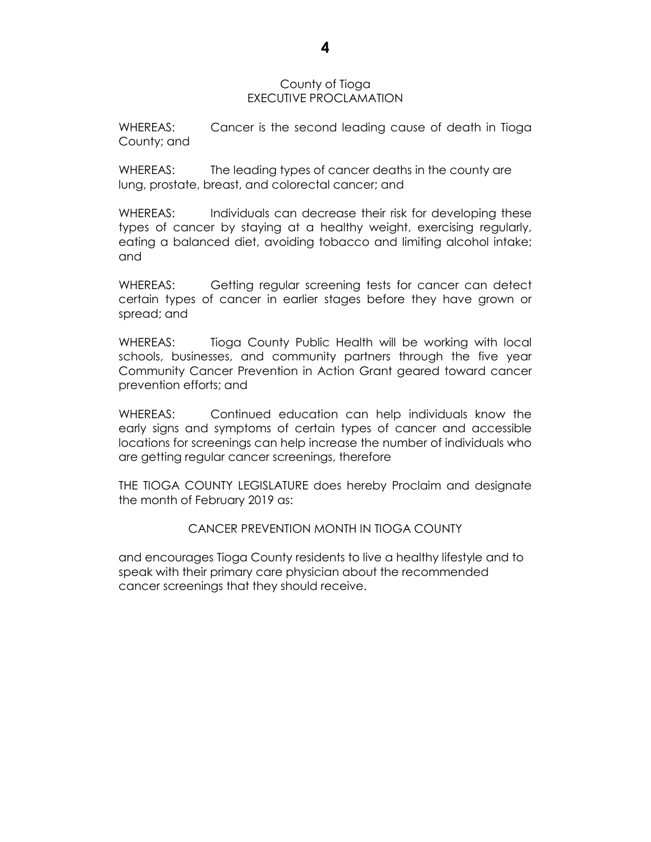#### County of Tioga EXECUTIVE PROCLAMATION

WHEREAS: Cancer is the second leading cause of death in Tioga County; and

WHEREAS: The leading types of cancer deaths in the county are lung, prostate, breast, and colorectal cancer; and

WHEREAS: Individuals can decrease their risk for developing these types of cancer by staying at a healthy weight, exercising regularly, eating a balanced diet, avoiding tobacco and limiting alcohol intake; and

WHEREAS: Getting regular screening tests for cancer can detect certain types of cancer in earlier stages before they have grown or spread; and

WHEREAS: Tioga County Public Health will be working with local schools, businesses, and community partners through the five year Community Cancer Prevention in Action Grant geared toward cancer prevention efforts; and

WHEREAS: Continued education can help individuals know the early signs and symptoms of certain types of cancer and accessible locations for screenings can help increase the number of individuals who are getting regular cancer screenings, therefore

THE TIOGA COUNTY LEGISLATURE does hereby Proclaim and designate the month of February 2019 as:

CANCER PREVENTION MONTH IN TIOGA COUNTY

and encourages Tioga County residents to live a healthy lifestyle and to speak with their primary care physician about the recommended cancer screenings that they should receive.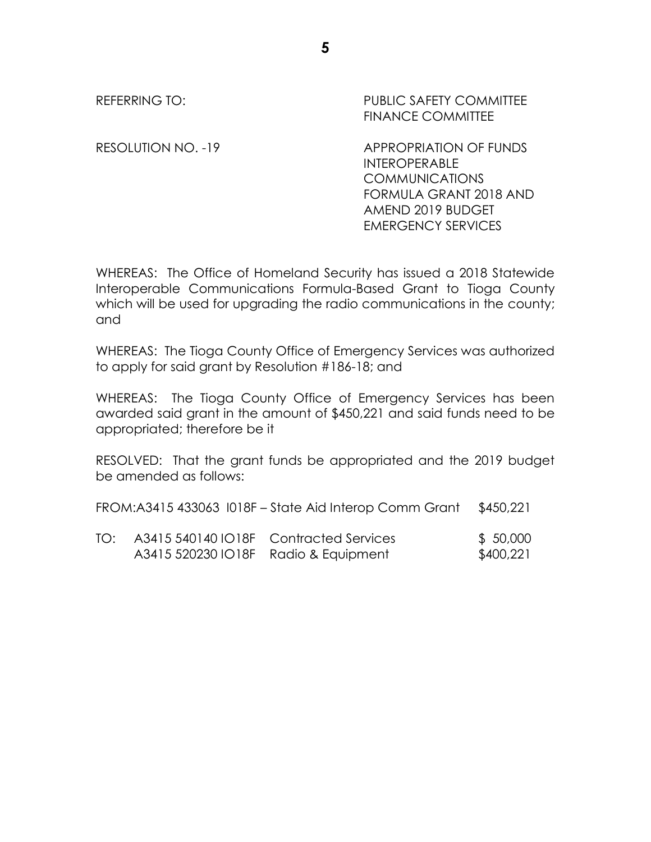REFERRING TO: The PUBLIC SAFETY COMMITTEE FINANCE COMMITTEE

RESOLUTION NO. -19 APPROPRIATION OF FUNDS INTEROPERABLE COMMUNICATIONS FORMULA GRANT 2018 AND AMEND 2019 BUDGET EMERGENCY SERVICES

WHEREAS: The Office of Homeland Security has issued a 2018 Statewide Interoperable Communications Formula-Based Grant to Tioga County which will be used for upgrading the radio communications in the county; and

WHEREAS: The Tioga County Office of Emergency Services was authorized to apply for said grant by Resolution #186-18; and

WHEREAS: The Tioga County Office of Emergency Services has been awarded said grant in the amount of \$450,221 and said funds need to be appropriated; therefore be it

RESOLVED: That the grant funds be appropriated and the 2019 budget be amended as follows:

| FROM:A3415 433063 I018F - State Aid Interop Comm Grant \$450,221 |  |  |  |  |  |
|------------------------------------------------------------------|--|--|--|--|--|
|------------------------------------------------------------------|--|--|--|--|--|

TO: A3415 540140 IO18F Contracted Services \$ 50,000 A3415 520230 IO18F Radio & Equipment \$400,221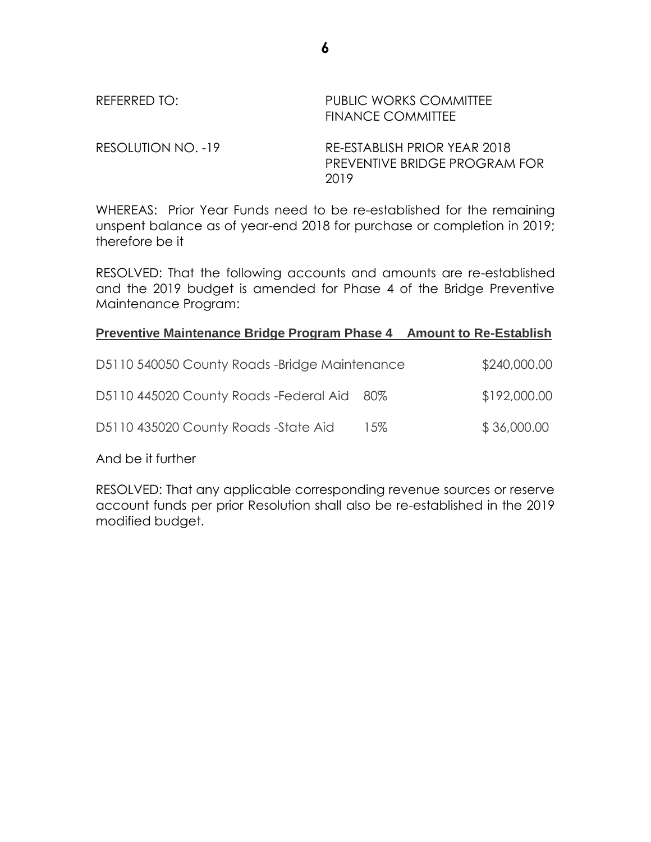| REFERRED TO:       | PUBLIC WORKS COMMITTEE<br><b>FINANCE COMMITTEE</b>                    |
|--------------------|-----------------------------------------------------------------------|
| RESOLUTION NO. -19 | RE-ESTABLISH PRIOR YEAR 2018<br>PREVENTIVE BRIDGE PROGRAM FOR<br>2019 |

WHEREAS: Prior Year Funds need to be re-established for the remaining unspent balance as of year-end 2018 for purchase or completion in 2019; therefore be it

RESOLVED: That the following accounts and amounts are re-established and the 2019 budget is amended for Phase 4 of the Bridge Preventive Maintenance Program:

#### **Preventive Maintenance Bridge Program Phase 4 Amount to Re-Establish**

| D5110 540050 County Roads -Bridge Maintenance |     | \$240,000.00 |
|-----------------------------------------------|-----|--------------|
| D5110 445020 County Roads - Federal Aid 80%   |     | \$192,000.00 |
| D5110 435020 County Roads -State Aid          | 15% | \$36,000.00  |

And be it further

RESOLVED: That any applicable corresponding revenue sources or reserve account funds per prior Resolution shall also be re-established in the 2019 modified budget.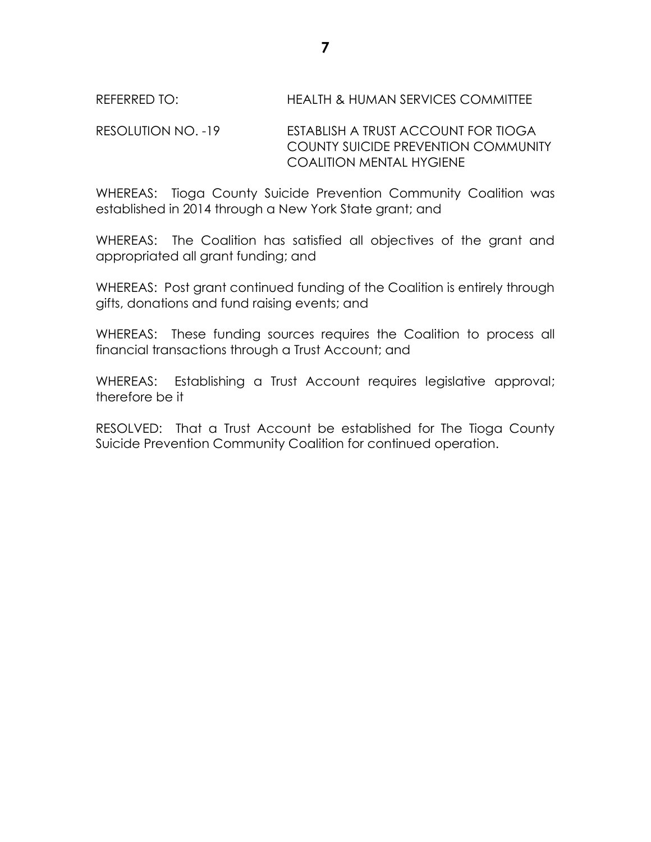# REFERRED TO: HEALTH & HUMAN SERVICES COMMITTEE

## RESOLUTION NO. -19 ESTABLISH A TRUST ACCOUNT FOR TIOGA COUNTY SUICIDE PREVENTION COMMUNITY COALITION MENTAL HYGIENE

WHEREAS: Tioga County Suicide Prevention Community Coalition was established in 2014 through a New York State grant; and

WHEREAS: The Coalition has satisfied all objectives of the grant and appropriated all grant funding; and

WHEREAS: Post grant continued funding of the Coalition is entirely through gifts, donations and fund raising events; and

WHEREAS: These funding sources requires the Coalition to process all financial transactions through a Trust Account; and

WHEREAS: Establishing a Trust Account requires legislative approval; therefore be it

RESOLVED: That a Trust Account be established for The Tioga County Suicide Prevention Community Coalition for continued operation.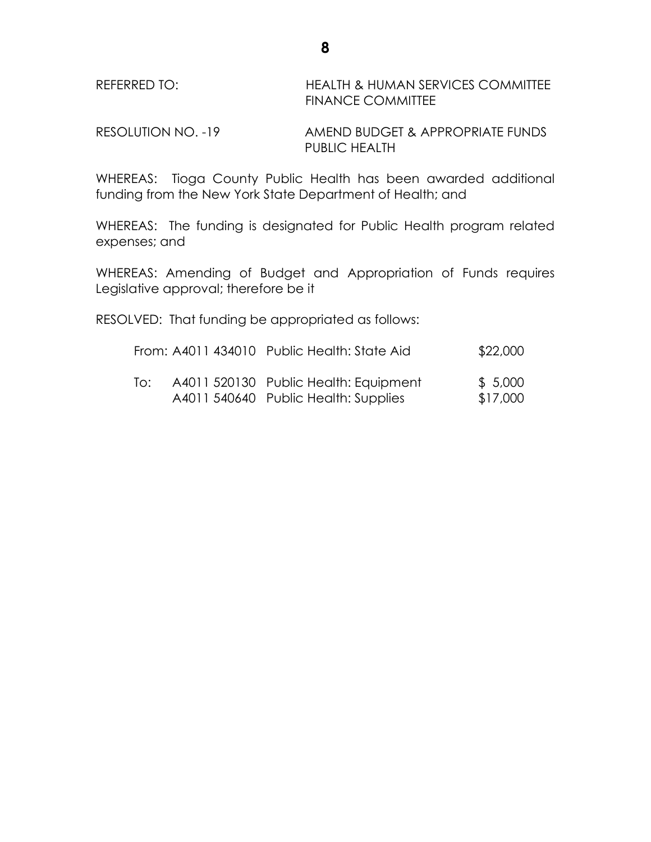| REFERRED TO: | <b>HEALTH &amp; HUMAN SERVICES COMMITTEE</b> |
|--------------|----------------------------------------------|
|              | <b>FINANCE COMMITTEE</b>                     |

RESOLUTION NO. -19 AMEND BUDGET & APPROPRIATE FUNDS PUBLIC HEALTH

WHEREAS: Tioga County Public Health has been awarded additional funding from the New York State Department of Health; and

WHEREAS: The funding is designated for Public Health program related expenses; and

WHEREAS: Amending of Budget and Appropriation of Funds requires Legislative approval; therefore be it

RESOLVED: That funding be appropriated as follows:

|     | From: A4011 434010 Public Health: State Aid                                   | \$22,000            |
|-----|-------------------------------------------------------------------------------|---------------------|
| lo: | A4011 520130 Public Health: Equipment<br>A4011 540640 Public Health: Supplies | \$5,000<br>\$17,000 |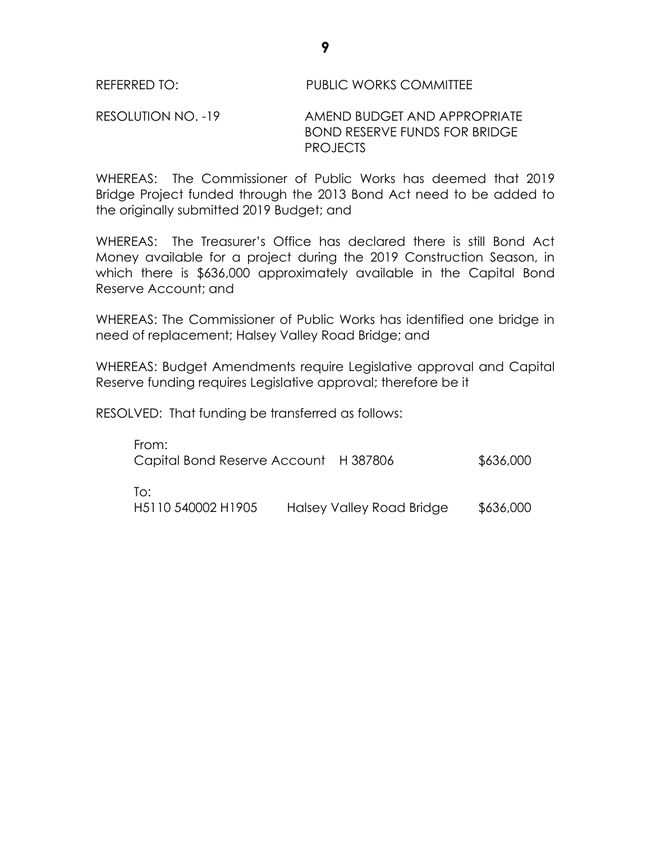## REFERRED TO: PUBLIC WORKS COMMITTEE

#### RESOLUTION NO. -19 AMEND BUDGET AND APPROPRIATE BOND RESERVE FUNDS FOR BRIDGE PROJECTS

WHEREAS: The Commissioner of Public Works has deemed that 2019 Bridge Project funded through the 2013 Bond Act need to be added to the originally submitted 2019 Budget; and

WHEREAS: The Treasurer's Office has declared there is still Bond Act Money available for a project during the 2019 Construction Season, in which there is \$636,000 approximately available in the Capital Bond Reserve Account; and

WHEREAS: The Commissioner of Public Works has identified one bridge in need of replacement; Halsey Valley Road Bridge; and

WHEREAS: Budget Amendments require Legislative approval and Capital Reserve funding requires Legislative approval; therefore be it

RESOLVED: That funding be transferred as follows:

| From:<br>Capital Bond Reserve Account H 387806 |                           | \$636,000 |
|------------------------------------------------|---------------------------|-----------|
| To:<br>H5110 540002 H1905                      | Halsey Valley Road Bridge | \$636,000 |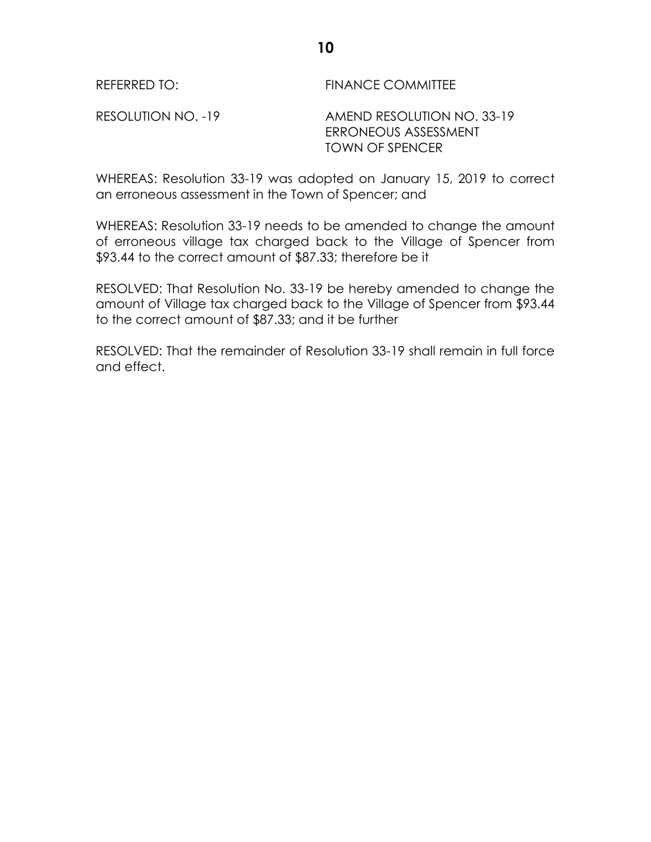REFERRED TO: FINANCE COMMITTEE

RESOLUTION NO. -19 AMEND RESOLUTION NO. 33-19 ERRONEOUS ASSESSMENT TOWN OF SPENCER

WHEREAS: Resolution 33-19 was adopted on January 15, 2019 to correct an erroneous assessment in the Town of Spencer; and

WHEREAS: Resolution 33-19 needs to be amended to change the amount of erroneous village tax charged back to the Village of Spencer from \$93.44 to the correct amount of \$87.33; therefore be it

RESOLVED: That Resolution No. 33-19 be hereby amended to change the amount of Village tax charged back to the Village of Spencer from \$93.44 to the correct amount of \$87.33; and it be further

RESOLVED: That the remainder of Resolution 33-19 shall remain in full force and effect.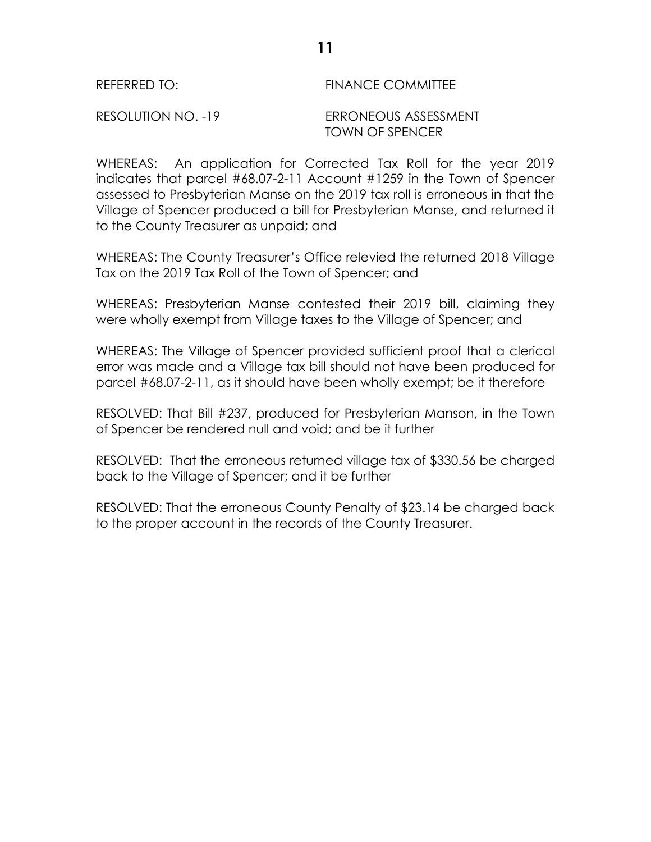# REFERRED TO: FINANCE COMMITTEE

RESOLUTION NO. -19 ERRONEOUS ASSESSMENT TOWN OF SPENCER

WHEREAS: An application for Corrected Tax Roll for the year 2019 indicates that parcel #68.07-2-11 Account #1259 in the Town of Spencer assessed to Presbyterian Manse on the 2019 tax roll is erroneous in that the Village of Spencer produced a bill for Presbyterian Manse, and returned it to the County Treasurer as unpaid; and

WHEREAS: The County Treasurer's Office relevied the returned 2018 Village Tax on the 2019 Tax Roll of the Town of Spencer; and

WHEREAS: Presbyterian Manse contested their 2019 bill, claiming they were wholly exempt from Village taxes to the Village of Spencer; and

WHEREAS: The Village of Spencer provided sufficient proof that a clerical error was made and a Village tax bill should not have been produced for parcel #68.07-2-11, as it should have been wholly exempt; be it therefore

RESOLVED: That Bill #237, produced for Presbyterian Manson, in the Town of Spencer be rendered null and void; and be it further

RESOLVED: That the erroneous returned village tax of \$330.56 be charged back to the Village of Spencer; and it be further

RESOLVED: That the erroneous County Penalty of \$23.14 be charged back to the proper account in the records of the County Treasurer.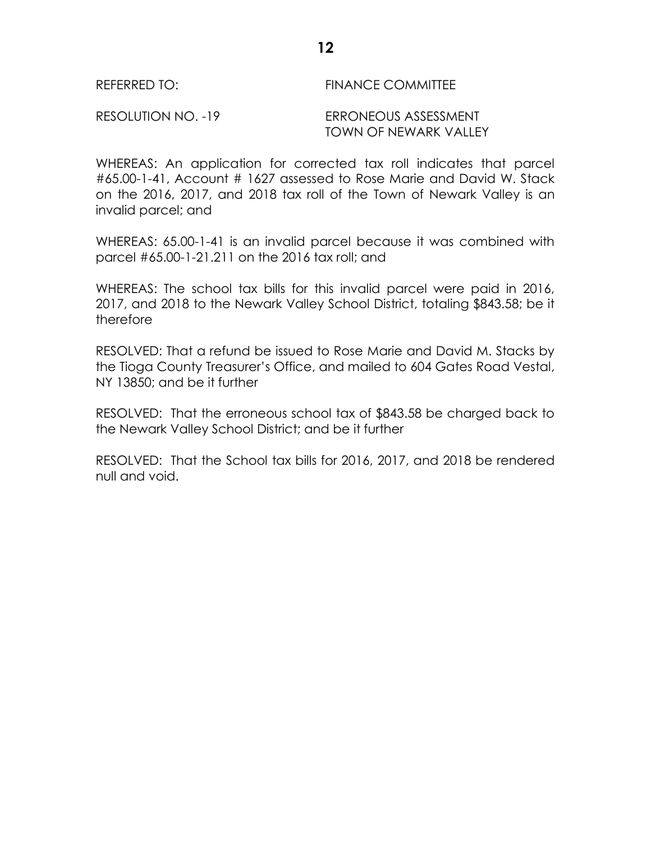## REFERRED TO: FINANCE COMMITTEE

#### RESOLUTION NO. -19 ERRONEOUS ASSESSMENT TOWN OF NEWARK VALLEY

WHEREAS: An application for corrected tax roll indicates that parcel #65.00-1-41, Account # 1627 assessed to Rose Marie and David W. Stack on the 2016, 2017, and 2018 tax roll of the Town of Newark Valley is an invalid parcel; and

WHEREAS: 65.00-1-41 is an invalid parcel because it was combined with parcel #65.00-1-21.211 on the 2016 tax roll; and

WHEREAS: The school tax bills for this invalid parcel were paid in 2016, 2017, and 2018 to the Newark Valley School District, totaling \$843.58; be it therefore

RESOLVED: That a refund be issued to Rose Marie and David M. Stacks by the Tioga County Treasurer's Office, and mailed to 604 Gates Road Vestal, NY 13850; and be it further

RESOLVED: That the erroneous school tax of \$843.58 be charged back to the Newark Valley School District; and be it further

RESOLVED: That the School tax bills for 2016, 2017, and 2018 be rendered null and void.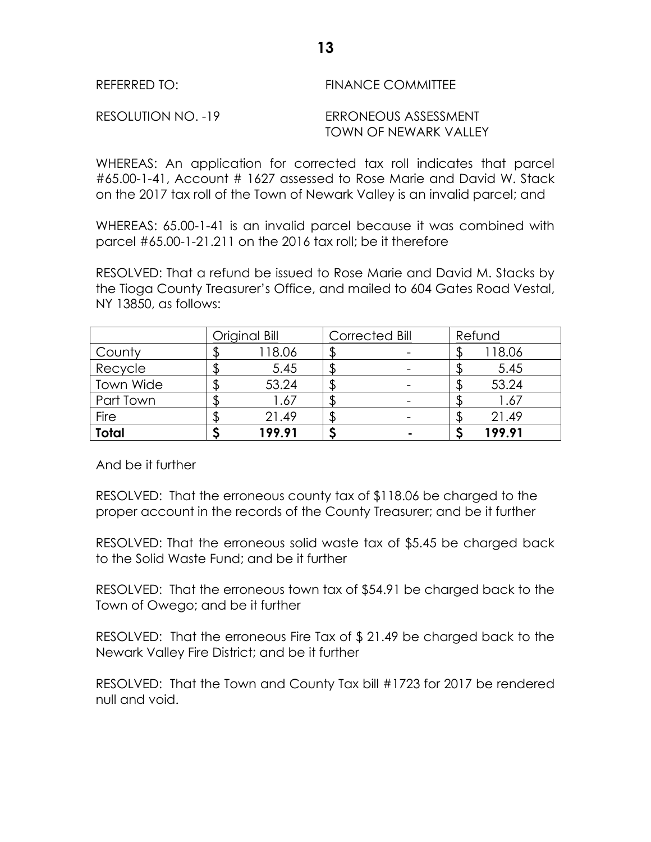| REFERRED TO:       | <b>FINANCE COMMITTEE</b>                      |
|--------------------|-----------------------------------------------|
| RESOLUTION NO. -19 | ERRONEOUS ASSESSMENT<br>TOWN OF NEWARK VALLEY |

WHEREAS: An application for corrected tax roll indicates that parcel #65.00-1-41, Account # 1627 assessed to Rose Marie and David W. Stack on the 2017 tax roll of the Town of Newark Valley is an invalid parcel; and

WHEREAS: 65.00-1-41 is an invalid parcel because it was combined with parcel #65.00-1-21.211 on the 2016 tax roll; be it therefore

RESOLVED: That a refund be issued to Rose Marie and David M. Stacks by the Tioga County Treasurer's Office, and mailed to 604 Gates Road Vestal, NY 13850, as follows:

|              | Original Bill | Corrected Bill | Refund |
|--------------|---------------|----------------|--------|
| County       | 118.06        |                | 118.06 |
| Recycle      | 5.45          |                | 5.45   |
| Town Wide    | 53.24         |                | 53.24  |
| Part Town    | 1.67          |                | 1.67   |
| Fire         | 21.49         |                | 21.49  |
| <b>Total</b> | 199.91        |                | 199.91 |

And be it further

RESOLVED: That the erroneous county tax of \$118.06 be charged to the proper account in the records of the County Treasurer; and be it further

RESOLVED: That the erroneous solid waste tax of \$5.45 be charged back to the Solid Waste Fund; and be it further

RESOLVED: That the erroneous town tax of \$54.91 be charged back to the Town of Owego; and be it further

RESOLVED: That the erroneous Fire Tax of \$ 21.49 be charged back to the Newark Valley Fire District; and be it further

RESOLVED: That the Town and County Tax bill #1723 for 2017 be rendered null and void.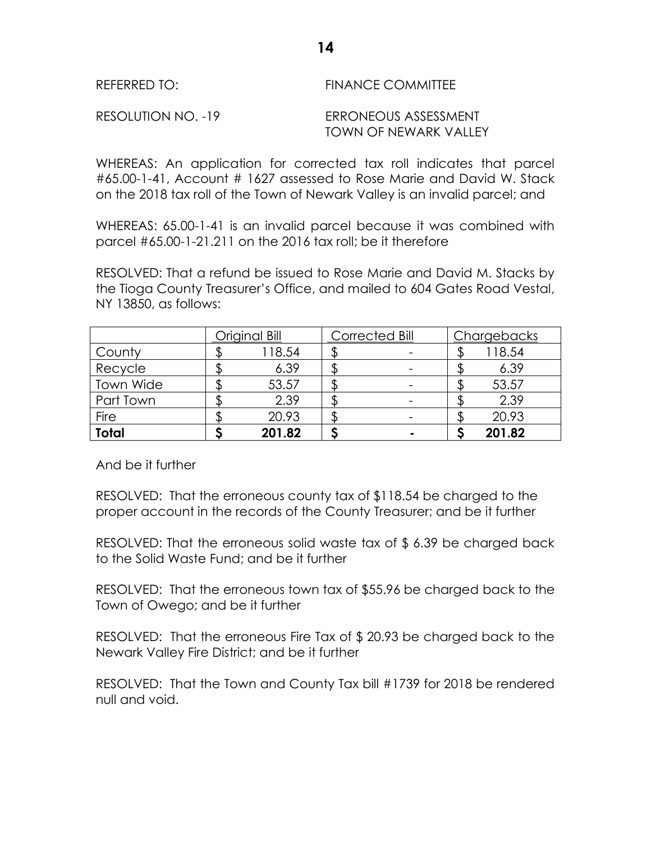| REFERRED TO:       | FINANCE COMMITTEE                             |
|--------------------|-----------------------------------------------|
| RESOLUTION NO. -19 | ERRONEOUS ASSESSMENT<br>TOWN OF NEWARK VALLEY |

WHEREAS: An application for corrected tax roll indicates that parcel #65.00-1-41, Account # 1627 assessed to Rose Marie and David W. Stack on the 2018 tax roll of the Town of Newark Valley is an invalid parcel; and

WHEREAS: 65.00-1-41 is an invalid parcel because it was combined with parcel #65.00-1-21.211 on the 2016 tax roll; be it therefore

RESOLVED: That a refund be issued to Rose Marie and David M. Stacks by the Tioga County Treasurer's Office, and mailed to 604 Gates Road Vestal, NY 13850, as follows:

|              | Original Bill |        | Corrected Bill |  | Chargebacks |        |
|--------------|---------------|--------|----------------|--|-------------|--------|
| County       |               | 118.54 |                |  |             | 118.54 |
| Recycle      |               | 6.39   |                |  |             | 6.39   |
| Town Wide    |               | 53.57  |                |  |             | 53.57  |
| Part Town    |               | 2.39   |                |  |             | 2.39   |
| <b>Fire</b>  |               | 20.93  |                |  |             | 20.93  |
| <b>Total</b> |               | 201.82 |                |  |             | 201.82 |

And be it further

RESOLVED: That the erroneous county tax of \$118.54 be charged to the proper account in the records of the County Treasurer; and be it further

RESOLVED: That the erroneous solid waste tax of \$ 6.39 be charged back to the Solid Waste Fund; and be it further

RESOLVED: That the erroneous town tax of \$55.96 be charged back to the Town of Owego; and be it further

RESOLVED: That the erroneous Fire Tax of \$ 20.93 be charged back to the Newark Valley Fire District; and be it further

RESOLVED: That the Town and County Tax bill #1739 for 2018 be rendered null and void.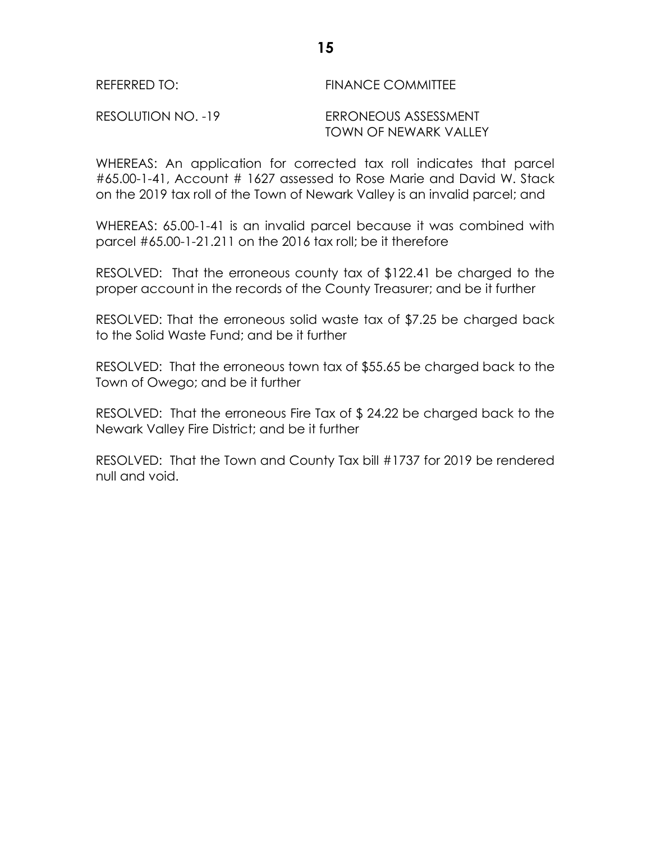# REFERRED TO: FINANCE COMMITTEE RESOLUTION NO. -19 ERRONEOUS ASSESSMENT

TOWN OF NEWARK VALLEY

WHEREAS: An application for corrected tax roll indicates that parcel #65.00-1-41, Account # 1627 assessed to Rose Marie and David W. Stack on the 2019 tax roll of the Town of Newark Valley is an invalid parcel; and

WHEREAS: 65.00-1-41 is an invalid parcel because it was combined with parcel #65.00-1-21.211 on the 2016 tax roll; be it therefore

RESOLVED: That the erroneous county tax of \$122.41 be charged to the proper account in the records of the County Treasurer; and be it further

RESOLVED: That the erroneous solid waste tax of \$7.25 be charged back to the Solid Waste Fund; and be it further

RESOLVED: That the erroneous town tax of \$55.65 be charged back to the Town of Owego; and be it further

RESOLVED: That the erroneous Fire Tax of \$ 24.22 be charged back to the Newark Valley Fire District; and be it further

RESOLVED: That the Town and County Tax bill #1737 for 2019 be rendered null and void.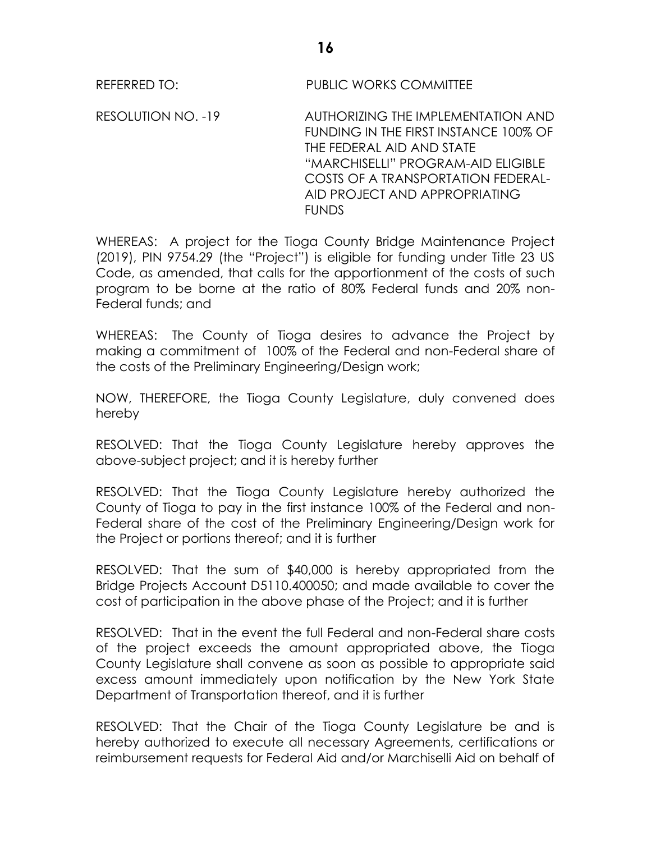REFERRED TO: PUBLIC WORKS COMMITTEE

RESOLUTION NO. -19 AUTHORIZING THE IMPLEMENTATION AND FUNDING IN THE FIRST INSTANCE 100% OF THE FEDERAL AID AND STATE "MARCHISELLI" PROGRAM-AID ELIGIBLE COSTS OF A TRANSPORTATION FEDERAL-AID PROJECT AND APPROPRIATING **FUNDS** 

WHEREAS: A project for the Tioga County Bridge Maintenance Project (2019), PIN 9754.29 (the "Project") is eligible for funding under Title 23 US Code, as amended, that calls for the apportionment of the costs of such program to be borne at the ratio of 80% Federal funds and 20% non-Federal funds; and

WHEREAS: The County of Tioga desires to advance the Project by making a commitment of 100% of the Federal and non-Federal share of the costs of the Preliminary Engineering/Design work;

NOW, THEREFORE, the Tioga County Legislature, duly convened does hereby

RESOLVED: That the Tioga County Legislature hereby approves the above-subject project; and it is hereby further

RESOLVED: That the Tioga County Legislature hereby authorized the County of Tioga to pay in the first instance 100% of the Federal and non-Federal share of the cost of the Preliminary Engineering/Design work for the Project or portions thereof; and it is further

RESOLVED: That the sum of \$40,000 is hereby appropriated from the Bridge Projects Account D5110.400050; and made available to cover the cost of participation in the above phase of the Project; and it is further

RESOLVED: That in the event the full Federal and non-Federal share costs of the project exceeds the amount appropriated above, the Tioga County Legislature shall convene as soon as possible to appropriate said excess amount immediately upon notification by the New York State Department of Transportation thereof, and it is further

RESOLVED: That the Chair of the Tioga County Legislature be and is hereby authorized to execute all necessary Agreements, certifications or reimbursement requests for Federal Aid and/or Marchiselli Aid on behalf of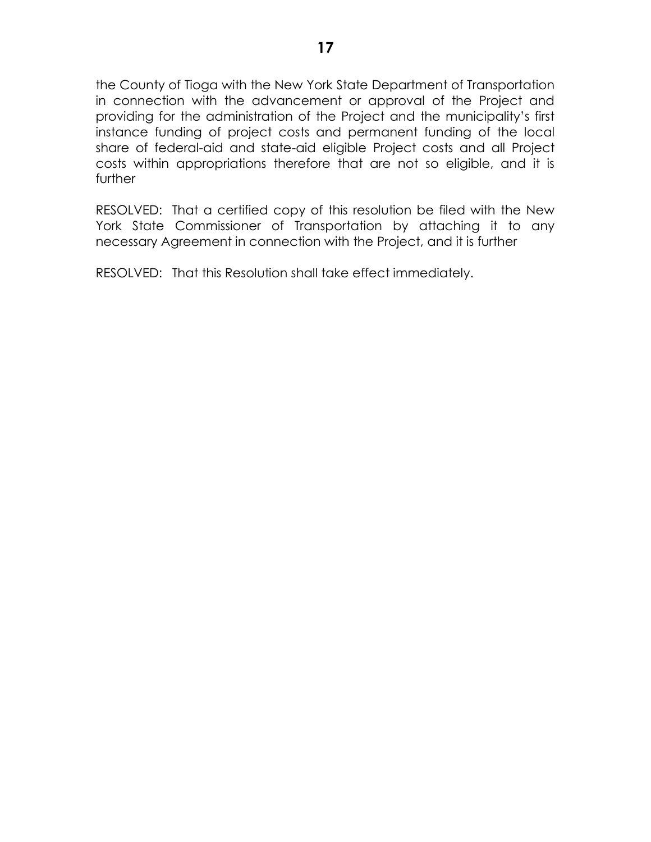the County of Tioga with the New York State Department of Transportation in connection with the advancement or approval of the Project and providing for the administration of the Project and the municipality's first instance funding of project costs and permanent funding of the local share of federal-aid and state-aid eligible Project costs and all Project costs within appropriations therefore that are not so eligible, and it is further

RESOLVED: That a certified copy of this resolution be filed with the New York State Commissioner of Transportation by attaching it to any necessary Agreement in connection with the Project, and it is further

RESOLVED: That this Resolution shall take effect immediately.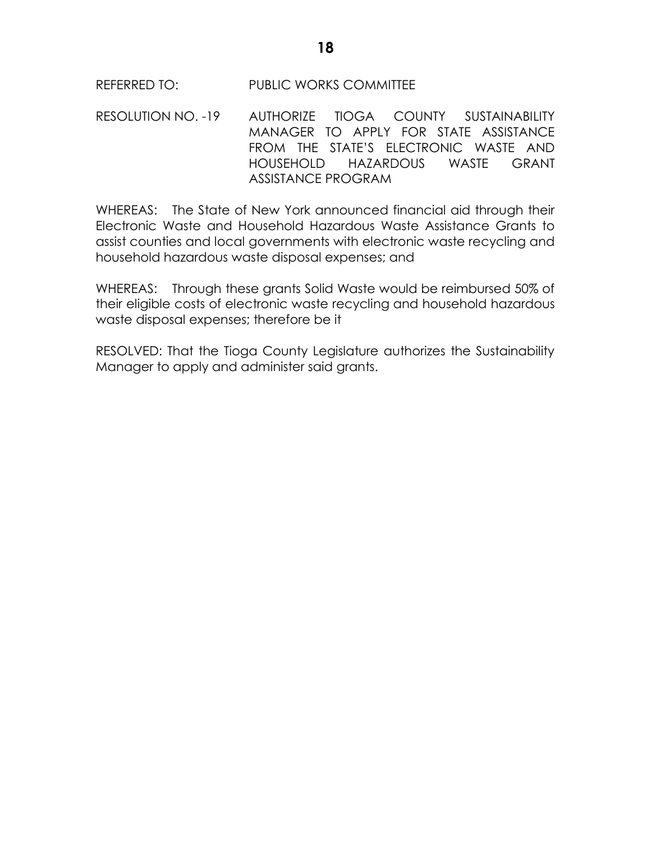RESOLUTION NO. -19 AUTHORIZE TIOGA COUNTY SUSTAINABILITY MANAGER TO APPLY FOR STATE ASSISTANCE FROM THE STATE'S ELECTRONIC WASTE AND HOUSEHOLD HAZARDOUS WASTE GRANT ASSISTANCE PROGRAM

WHEREAS: The State of New York announced financial aid through their Electronic Waste and Household Hazardous Waste Assistance Grants to assist counties and local governments with electronic waste recycling and household hazardous waste disposal expenses; and

WHEREAS: Through these grants Solid Waste would be reimbursed 50% of their eligible costs of electronic waste recycling and household hazardous waste disposal expenses; therefore be it

RESOLVED: That the Tioga County Legislature authorizes the Sustainability Manager to apply and administer said grants.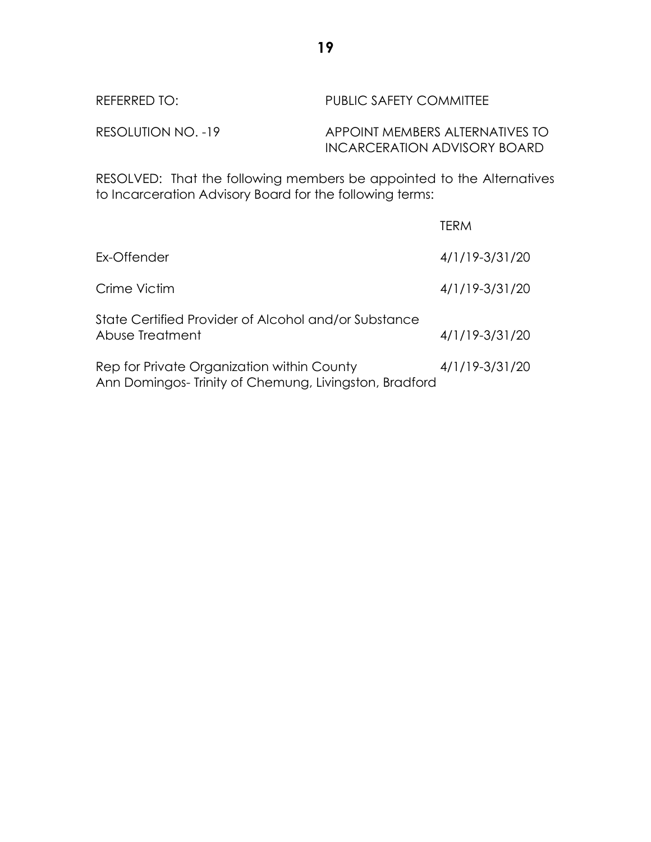| REFERRED TO:       | PUBLIC SAFETY COMMITTEE                                         |
|--------------------|-----------------------------------------------------------------|
| RESOLUTION NO. -19 | APPOINT MEMBERS ALTERNATIVES TO<br>INCARCERATION ADVISORY BOARD |

RESOLVED: That the following members be appointed to the Alternatives to Incarceration Advisory Board for the following terms:

|                                                                                                     | TERM           |
|-----------------------------------------------------------------------------------------------------|----------------|
| Ex-Offender                                                                                         | 4/1/19-3/31/20 |
| Crime Victim                                                                                        | 4/1/19-3/31/20 |
| State Certified Provider of Alcohol and/or Substance<br>Abuse Treatment                             | 4/1/19-3/31/20 |
| Rep for Private Organization within County<br>Ann Domingos-Trinity of Chemung, Livingston, Bradford | 4/1/19-3/31/20 |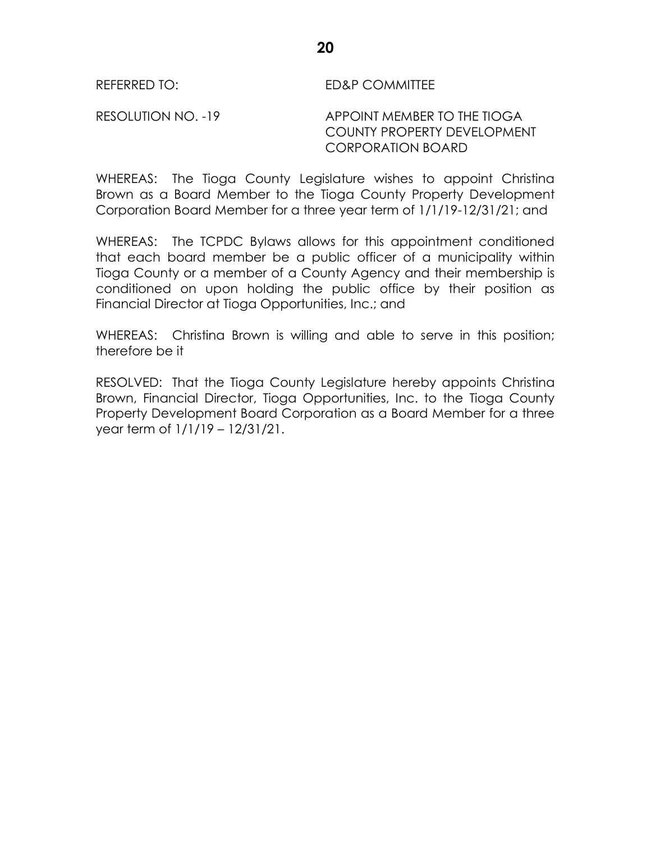RESOLUTION NO. -19 APPOINT MEMBER TO THE TIOGA COUNTY PROPERTY DEVELOPMENT CORPORATION BOARD

WHEREAS: The Tioga County Legislature wishes to appoint Christina Brown as a Board Member to the Tioga County Property Development Corporation Board Member for a three year term of 1/1/19-12/31/21; and

WHEREAS: The TCPDC Bylaws allows for this appointment conditioned that each board member be a public officer of a municipality within Tioga County or a member of a County Agency and their membership is conditioned on upon holding the public office by their position as Financial Director at Tioga Opportunities, Inc.; and

WHEREAS: Christina Brown is willing and able to serve in this position; therefore be it

RESOLVED: That the Tioga County Legislature hereby appoints Christina Brown, Financial Director, Tioga Opportunities, Inc. to the Tioga County Property Development Board Corporation as a Board Member for a three year term of 1/1/19 – 12/31/21.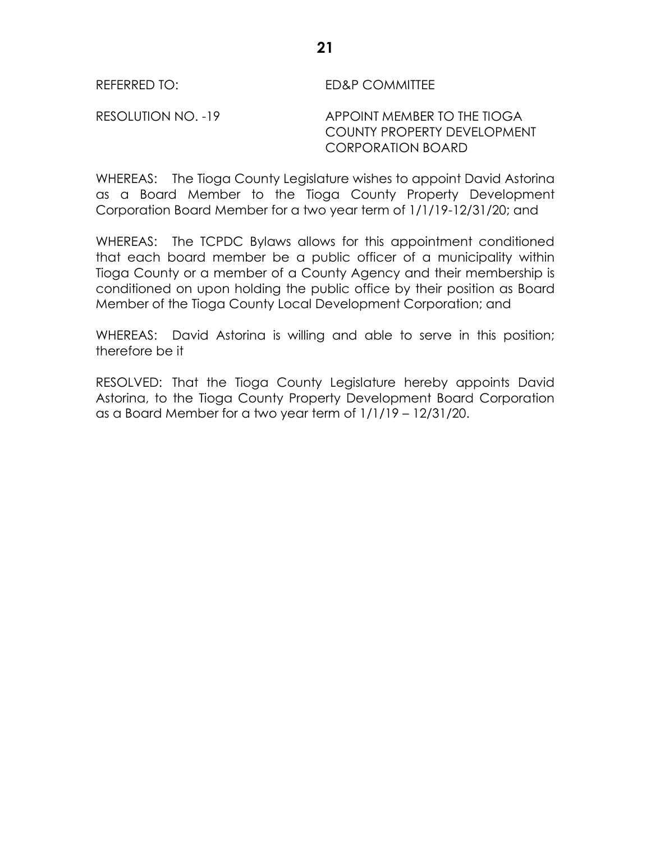RESOLUTION NO. -19 APPOINT MEMBER TO THE TIOGA COUNTY PROPERTY DEVELOPMENT CORPORATION BOARD

WHEREAS: The Tioga County Legislature wishes to appoint David Astorina as a Board Member to the Tioga County Property Development Corporation Board Member for a two year term of 1/1/19-12/31/20; and

WHEREAS: The TCPDC Bylaws allows for this appointment conditioned that each board member be a public officer of a municipality within Tioga County or a member of a County Agency and their membership is conditioned on upon holding the public office by their position as Board Member of the Tioga County Local Development Corporation; and

WHEREAS: David Astorina is willing and able to serve in this position; therefore be it

RESOLVED: That the Tioga County Legislature hereby appoints David Astorina, to the Tioga County Property Development Board Corporation as a Board Member for a two year term of 1/1/19 – 12/31/20.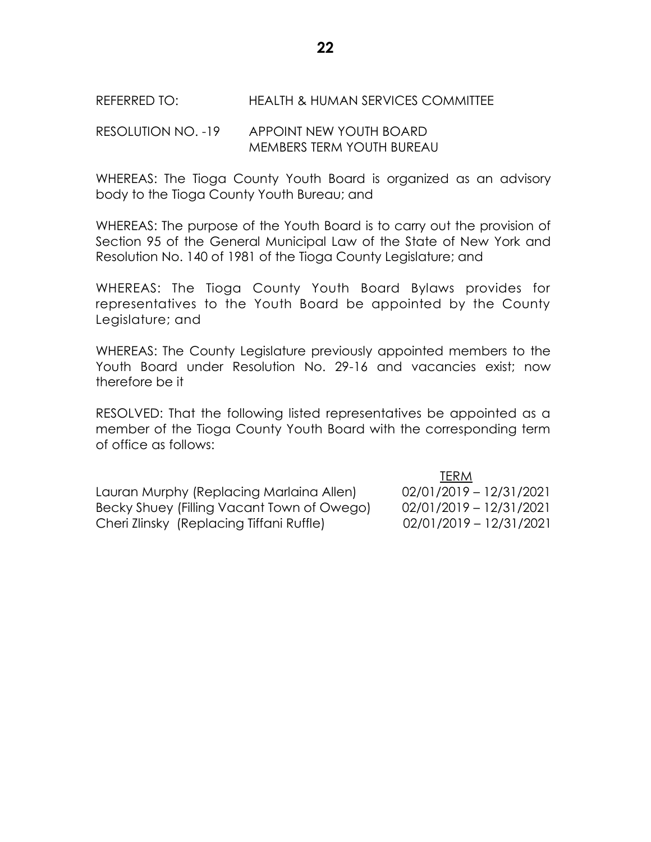## RESOLUTION NO. -19 APPOINT NEW YOUTH BOARD MEMBERS TERM YOUTH BUREAU

WHEREAS: The Tioga County Youth Board is organized as an advisory body to the Tioga County Youth Bureau; and

WHEREAS: The purpose of the Youth Board is to carry out the provision of Section 95 of the General Municipal Law of the State of New York and Resolution No. 140 of 1981 of the Tioga County Legislature; and

WHEREAS: The Tioga County Youth Board Bylaws provides for representatives to the Youth Board be appointed by the County Legislature; and

WHEREAS: The County Legislature previously appointed members to the Youth Board under Resolution No. 29-16 and vacancies exist; now therefore be it

RESOLVED: That the following listed representatives be appointed as a member of the Tioga County Youth Board with the corresponding term of office as follows:

Lauran Murphy (Replacing Marlaina Allen) 02/01/2019 – 12/31/2021 Becky Shuey (Filling Vacant Town of Owego) 02/01/2019 – 12/31/2021 Cheri Zlinsky (Replacing Tiffani Ruffle) 02/01/2019 – 12/31/2021

TERM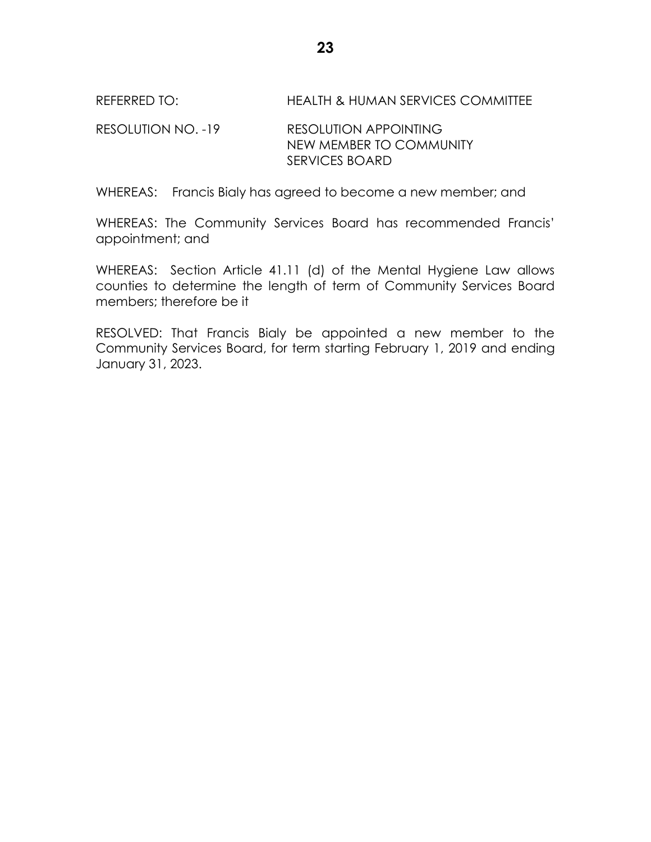REFERRED TO: HEALTH & HUMAN SERVICES COMMITTEE

RESOLUTION NO. -19 RESOLUTION APPOINTING NEW MEMBER TO COMMUNITY SERVICES BOARD

WHEREAS: Francis Bialy has agreed to become a new member; and

WHEREAS: The Community Services Board has recommended Francis' appointment; and

WHEREAS: Section Article 41.11 (d) of the Mental Hygiene Law allows counties to determine the length of term of Community Services Board members; therefore be it

RESOLVED: That Francis Bialy be appointed a new member to the Community Services Board, for term starting February 1, 2019 and ending January 31, 2023.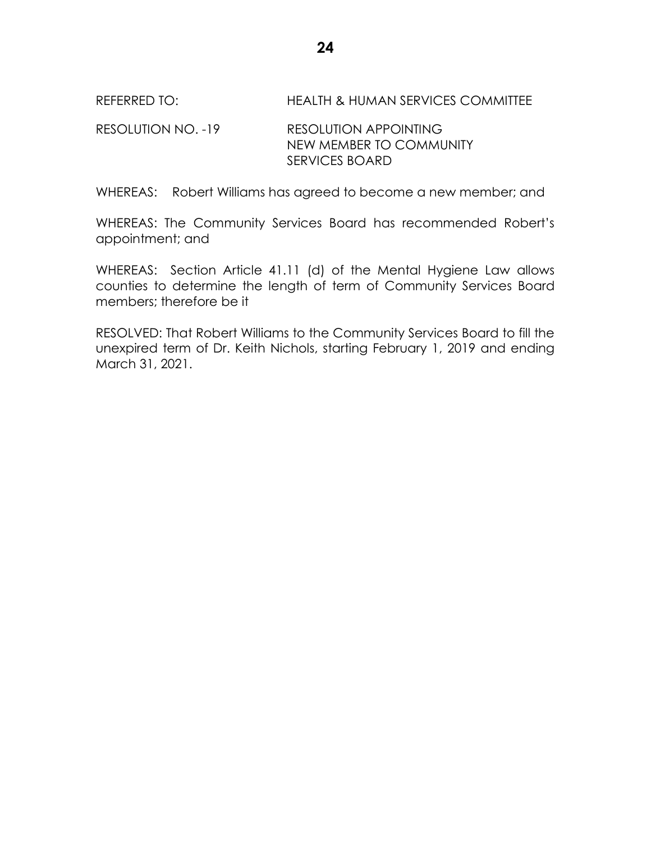REFERRED TO: HEALTH & HUMAN SERVICES COMMITTEE

RESOLUTION NO. -19 RESOLUTION APPOINTING NEW MEMBER TO COMMUNITY SERVICES BOARD

WHEREAS: Robert Williams has agreed to become a new member; and

WHEREAS: The Community Services Board has recommended Robert's appointment; and

WHEREAS: Section Article 41.11 (d) of the Mental Hygiene Law allows counties to determine the length of term of Community Services Board members; therefore be it

RESOLVED: That Robert Williams to the Community Services Board to fill the unexpired term of Dr. Keith Nichols, starting February 1, 2019 and ending March 31, 2021.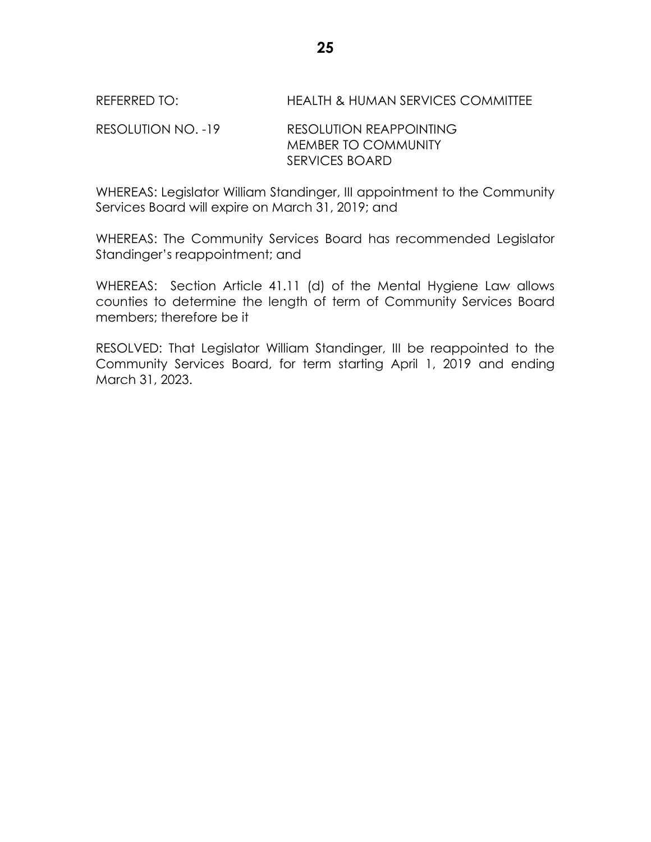#### RESOLUTION NO. -19 RESOLUTION REAPPOINTING MEMBER TO COMMUNITY SERVICES BOARD

WHEREAS: Legislator William Standinger, III appointment to the Community Services Board will expire on March 31, 2019; and

WHEREAS: The Community Services Board has recommended Legislator Standinger's reappointment; and

WHEREAS: Section Article 41.11 (d) of the Mental Hygiene Law allows counties to determine the length of term of Community Services Board members; therefore be it

RESOLVED: That Legislator William Standinger, III be reappointed to the Community Services Board, for term starting April 1, 2019 and ending March 31, 2023.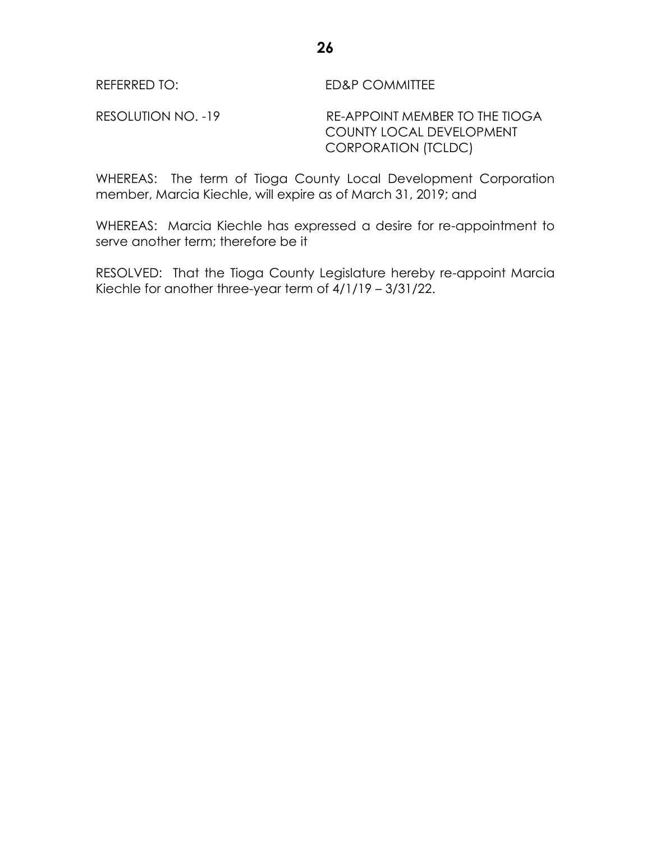RESOLUTION NO. -19 RE-APPOINT MEMBER TO THE TIOGA COUNTY LOCAL DEVELOPMENT CORPORATION (TCLDC)

WHEREAS: The term of Tioga County Local Development Corporation member, Marcia Kiechle, will expire as of March 31, 2019; and

WHEREAS: Marcia Kiechle has expressed a desire for re-appointment to serve another term; therefore be it

RESOLVED: That the Tioga County Legislature hereby re-appoint Marcia Kiechle for another three-year term of 4/1/19 – 3/31/22.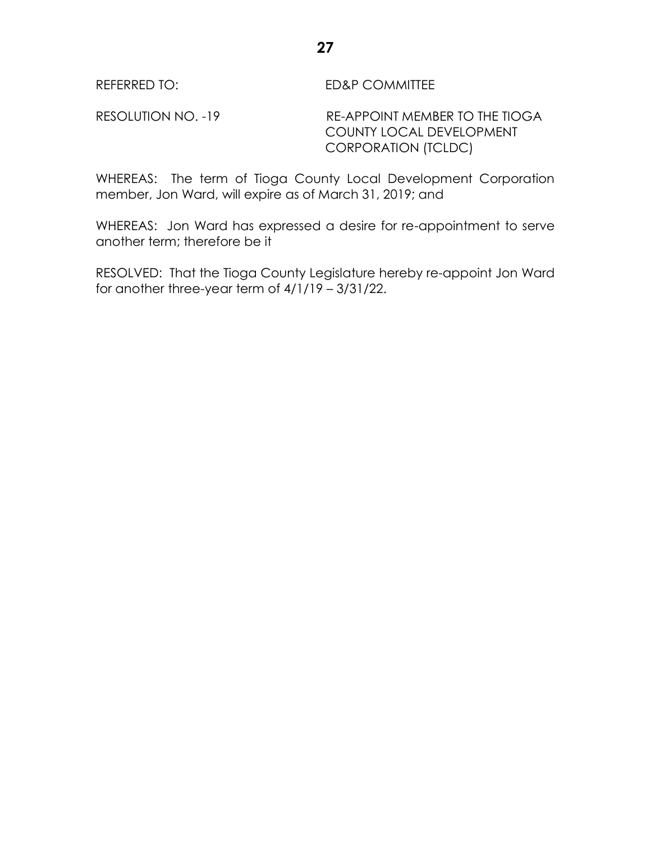RESOLUTION NO. -19 RE-APPOINT MEMBER TO THE TIOGA COUNTY LOCAL DEVELOPMENT CORPORATION (TCLDC)

WHEREAS: The term of Tioga County Local Development Corporation member, Jon Ward, will expire as of March 31, 2019; and

WHEREAS: Jon Ward has expressed a desire for re-appointment to serve another term; therefore be it

RESOLVED: That the Tioga County Legislature hereby re-appoint Jon Ward for another three-year term of 4/1/19 – 3/31/22.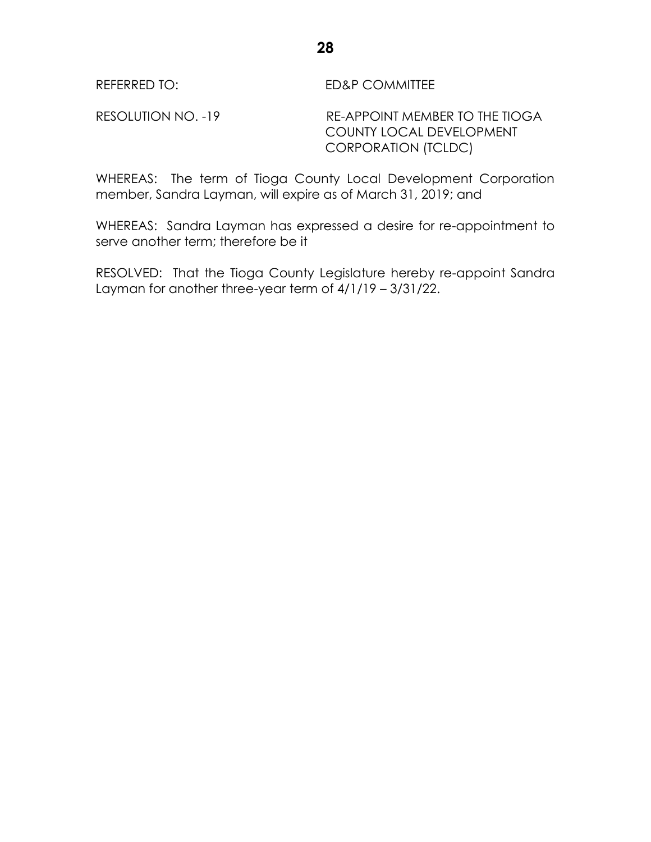RESOLUTION NO. -19 RE-APPOINT MEMBER TO THE TIOGA COUNTY LOCAL DEVELOPMENT CORPORATION (TCLDC)

WHEREAS: The term of Tioga County Local Development Corporation member, Sandra Layman, will expire as of March 31, 2019; and

WHEREAS: Sandra Layman has expressed a desire for re-appointment to serve another term; therefore be it

RESOLVED: That the Tioga County Legislature hereby re-appoint Sandra Layman for another three-year term of 4/1/19 – 3/31/22.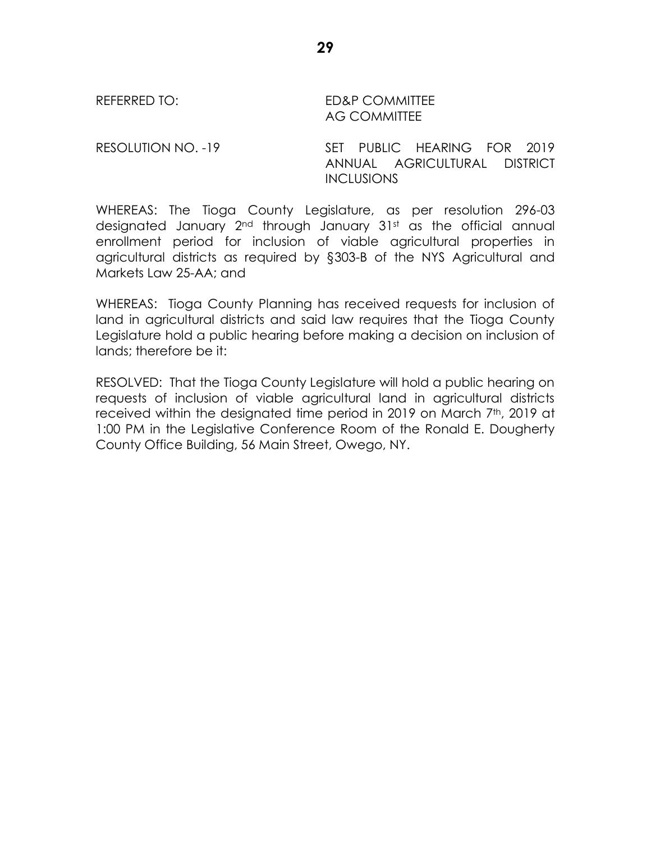REFERRED TO: ED&P COMMITTEE AG COMMITTEE

RESOLUTION NO. -19 SET PUBLIC HEARING FOR 2019 ANNUAL AGRICULTURAL DISTRICT **INCLUSIONS** 

WHEREAS: The Tioga County Legislature, as per resolution 296-03 designated January 2<sup>nd</sup> through January 31st as the official annual enrollment period for inclusion of viable agricultural properties in agricultural districts as required by §303-B of the NYS Agricultural and Markets Law 25-AA; and

WHEREAS: Tioga County Planning has received requests for inclusion of land in agricultural districts and said law requires that the Tioga County Legislature hold a public hearing before making a decision on inclusion of lands; therefore be it:

RESOLVED: That the Tioga County Legislature will hold a public hearing on requests of inclusion of viable agricultural land in agricultural districts received within the designated time period in 2019 on March 7<sup>th</sup>, 2019 at 1:00 PM in the Legislative Conference Room of the Ronald E. Dougherty County Office Building, 56 Main Street, Owego, NY.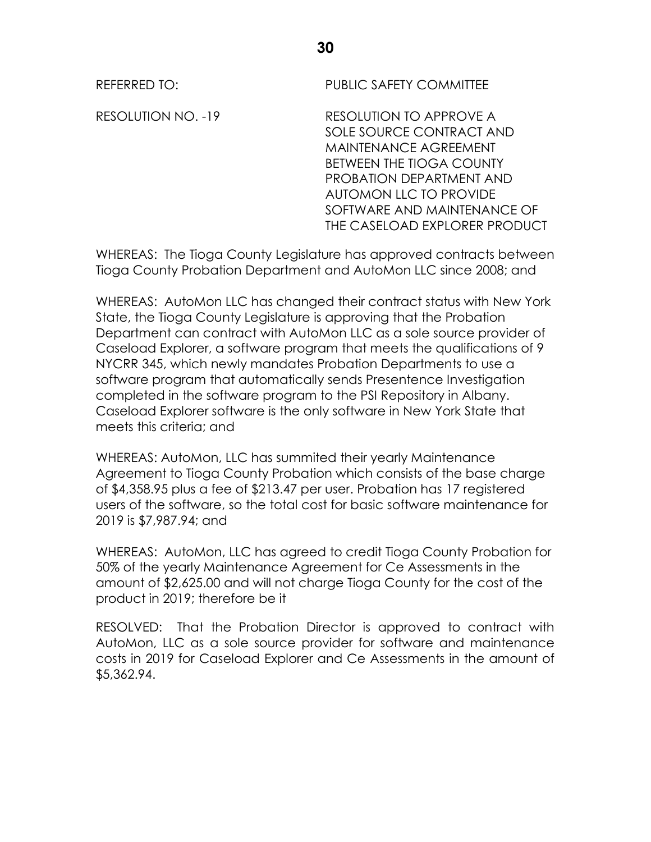REFERRED TO: PUBLIC SAFETY COMMITTEE

RESOLUTION NO. -19 RESOLUTION TO APPROVE A SOLE SOURCE CONTRACT AND MAINTENANCE AGREEMENT BETWEEN THE TIOGA COUNTY PROBATION DEPARTMENT AND AUTOMON LLC TO PROVIDE SOFTWARE AND MAINTENANCE OF THE CASELOAD EXPLORER PRODUCT

WHEREAS: The Tioga County Legislature has approved contracts between Tioga County Probation Department and AutoMon LLC since 2008; and

WHEREAS: AutoMon LLC has changed their contract status with New York State, the Tioga County Legislature is approving that the Probation Department can contract with AutoMon LLC as a sole source provider of Caseload Explorer, a software program that meets the qualifications of 9 NYCRR 345, which newly mandates Probation Departments to use a software program that automatically sends Presentence Investigation completed in the software program to the PSI Repository in Albany. Caseload Explorer software is the only software in New York State that meets this criteria; and

WHEREAS: AutoMon, LLC has summited their yearly Maintenance Agreement to Tioga County Probation which consists of the base charge of \$4,358.95 plus a fee of \$213.47 per user. Probation has 17 registered users of the software, so the total cost for basic software maintenance for 2019 is \$7,987.94; and

WHEREAS: AutoMon, LLC has agreed to credit Tioga County Probation for 50% of the yearly Maintenance Agreement for Ce Assessments in the amount of \$2,625.00 and will not charge Tioga County for the cost of the product in 2019; therefore be it

RESOLVED: That the Probation Director is approved to contract with AutoMon, LLC as a sole source provider for software and maintenance costs in 2019 for Caseload Explorer and Ce Assessments in the amount of \$5,362.94.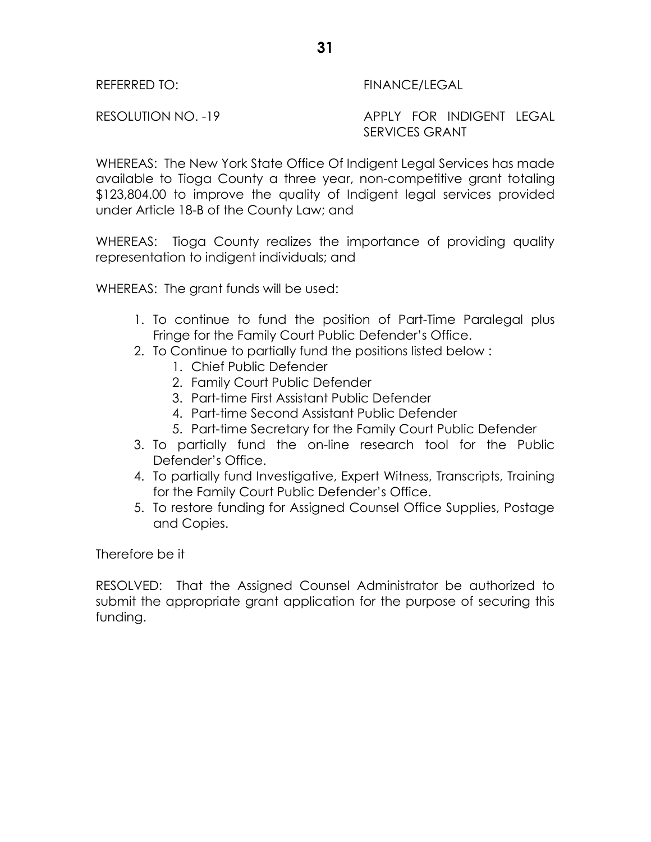# REFERRED TO: FINANCE/LEGAL

RESOLUTION NO. -19 APPLY FOR INDIGENT LEGAL SERVICES GRANT

WHEREAS: The New York State Office Of Indigent Legal Services has made available to Tioga County a three year, non-competitive grant totaling \$123,804.00 to improve the quality of Indigent legal services provided under Article 18-B of the County Law; and

WHEREAS: Tioga County realizes the importance of providing quality representation to indigent individuals; and

WHEREAS: The grant funds will be used:

- 1. To continue to fund the position of Part-Time Paralegal plus Fringe for the Family Court Public Defender's Office.
- 2. To Continue to partially fund the positions listed below :
	- 1. Chief Public Defender
	- 2. Family Court Public Defender
	- 3. Part-time First Assistant Public Defender
	- 4. Part-time Second Assistant Public Defender
	- 5. Part-time Secretary for the Family Court Public Defender
- 3. To partially fund the on-line research tool for the Public Defender's Office.
- 4. To partially fund Investigative, Expert Witness, Transcripts, Training for the Family Court Public Defender's Office.
- 5. To restore funding for Assigned Counsel Office Supplies, Postage and Copies.

Therefore be it

RESOLVED: That the Assigned Counsel Administrator be authorized to submit the appropriate grant application for the purpose of securing this funding.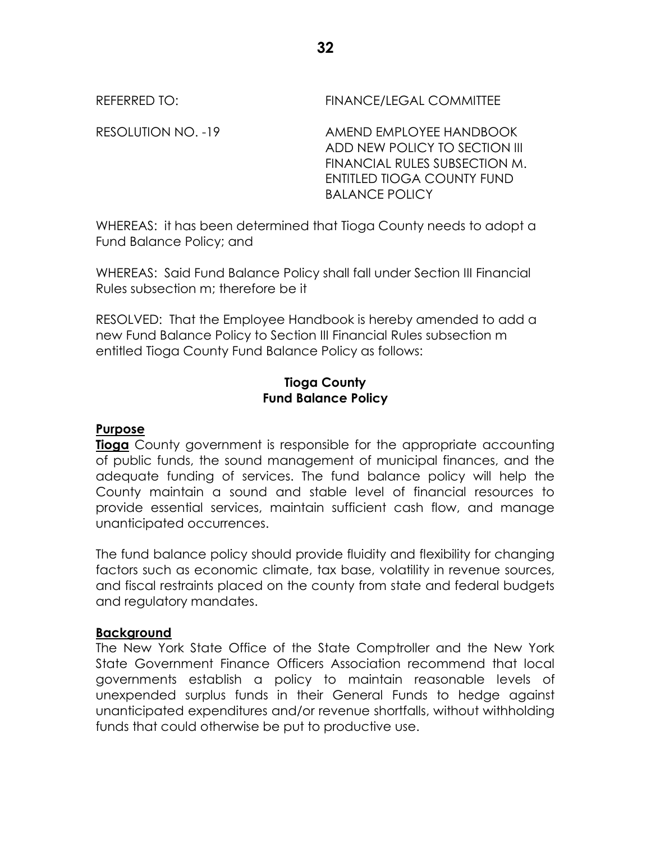REFERRED TO: FINANCE/LEGAL COMMITTEE

RESOLUTION NO. -19 AMEND EMPLOYEE HANDBOOK ADD NEW POLICY TO SECTION III FINANCIAL RULES SUBSECTION M. ENTITLED TIOGA COUNTY FUND BALANCE POLICY

WHEREAS: it has been determined that Tioga County needs to adopt a Fund Balance Policy; and

WHEREAS: Said Fund Balance Policy shall fall under Section III Financial Rules subsection m; therefore be it

RESOLVED: That the Employee Handbook is hereby amended to add a new Fund Balance Policy to Section III Financial Rules subsection m entitled Tioga County Fund Balance Policy as follows:

# **Tioga County Fund Balance Policy**

# **Purpose**

**Tioga** County government is responsible for the appropriate accounting of public funds, the sound management of municipal finances, and the adequate funding of services. The fund balance policy will help the County maintain a sound and stable level of financial resources to provide essential services, maintain sufficient cash flow, and manage unanticipated occurrences.

The fund balance policy should provide fluidity and flexibility for changing factors such as economic climate, tax base, volatility in revenue sources, and fiscal restraints placed on the county from state and federal budgets and regulatory mandates.

#### **Background**

The New York State Office of the State Comptroller and the New York State Government Finance Officers Association recommend that local governments establish a policy to maintain reasonable levels of unexpended surplus funds in their General Funds to hedge against unanticipated expenditures and/or revenue shortfalls, without withholding funds that could otherwise be put to productive use.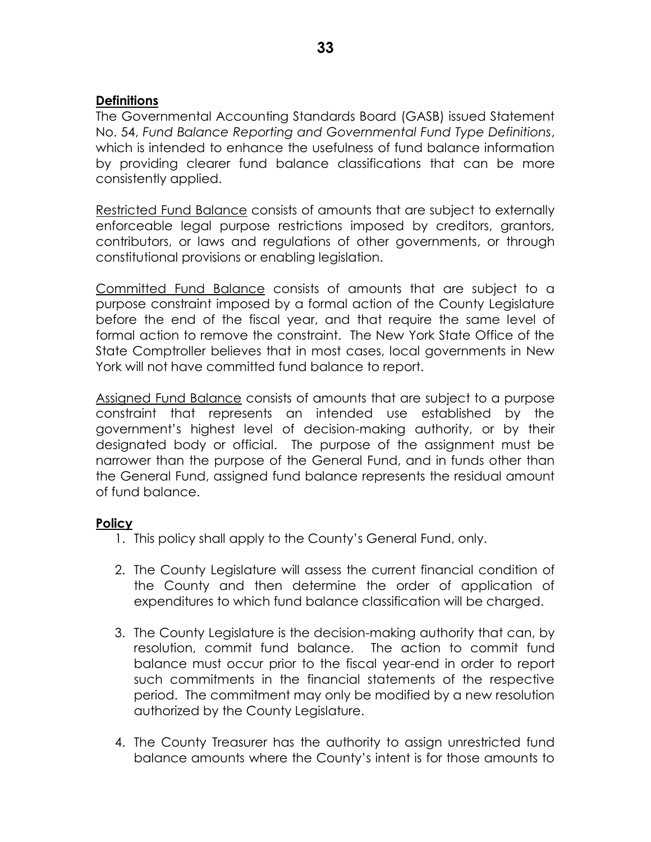# **Definitions**

The Governmental Accounting Standards Board (GASB) issued Statement No. 54, *Fund Balance Reporting and Governmental Fund Type Definitions*, which is intended to enhance the usefulness of fund balance information by providing clearer fund balance classifications that can be more consistently applied.

Restricted Fund Balance consists of amounts that are subject to externally enforceable legal purpose restrictions imposed by creditors, grantors, contributors, or laws and regulations of other governments, or through constitutional provisions or enabling legislation.

Committed Fund Balance consists of amounts that are subject to a purpose constraint imposed by a formal action of the County Legislature before the end of the fiscal year, and that require the same level of formal action to remove the constraint. The New York State Office of the State Comptroller believes that in most cases, local governments in New York will not have committed fund balance to report.

Assigned Fund Balance consists of amounts that are subject to a purpose constraint that represents an intended use established by the government's highest level of decision-making authority, or by their designated body or official. The purpose of the assignment must be narrower than the purpose of the General Fund, and in funds other than the General Fund, assigned fund balance represents the residual amount of fund balance.

# **Policy**

- 1. This policy shall apply to the County's General Fund, only.
- 2. The County Legislature will assess the current financial condition of the County and then determine the order of application of expenditures to which fund balance classification will be charged.
- 3. The County Legislature is the decision-making authority that can, by resolution, commit fund balance. The action to commit fund balance must occur prior to the fiscal year-end in order to report such commitments in the financial statements of the respective period. The commitment may only be modified by a new resolution authorized by the County Legislature.
- 4. The County Treasurer has the authority to assign unrestricted fund balance amounts where the County's intent is for those amounts to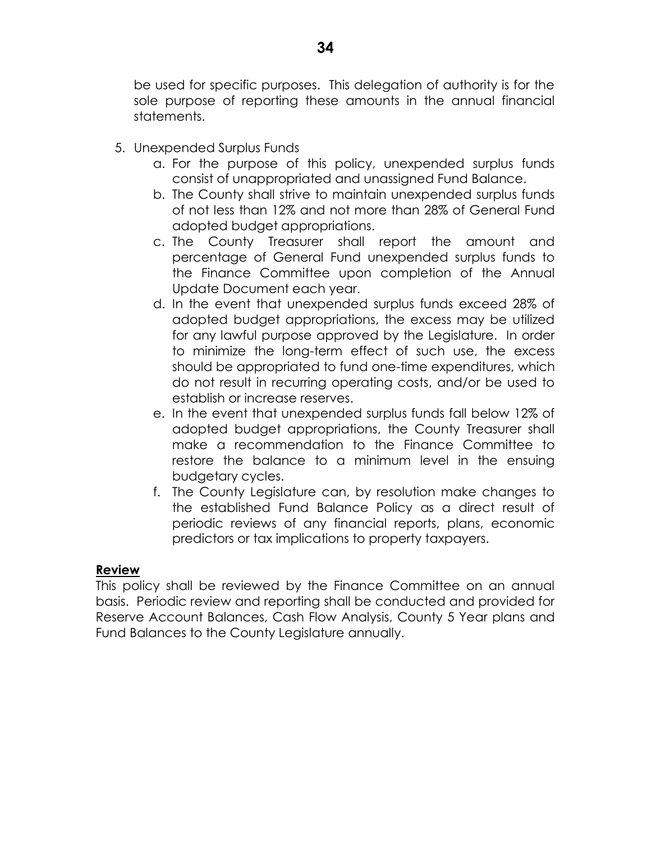be used for specific purposes. This delegation of authority is for the sole purpose of reporting these amounts in the annual financial statements.

- 5. Unexpended Surplus Funds
	- a. For the purpose of this policy, unexpended surplus funds consist of unappropriated and unassigned Fund Balance.
	- b. The County shall strive to maintain unexpended surplus funds of not less than 12% and not more than 28% of General Fund adopted budget appropriations.
	- c. The County Treasurer shall report the amount and percentage of General Fund unexpended surplus funds to the Finance Committee upon completion of the Annual Update Document each year.
	- d. In the event that unexpended surplus funds exceed 28% of adopted budget appropriations, the excess may be utilized for any lawful purpose approved by the Legislature. In order to minimize the long-term effect of such use, the excess should be appropriated to fund one-time expenditures, which do not result in recurring operating costs, and/or be used to establish or increase reserves.
	- e. In the event that unexpended surplus funds fall below 12% of adopted budget appropriations, the County Treasurer shall make a recommendation to the Finance Committee to restore the balance to a minimum level in the ensuing budgetary cycles.
	- f. The County Legislature can, by resolution make changes to the established Fund Balance Policy as a direct result of periodic reviews of any financial reports, plans, economic predictors or tax implications to property taxpayers.

#### **Review**

This policy shall be reviewed by the Finance Committee on an annual basis. Periodic review and reporting shall be conducted and provided for Reserve Account Balances, Cash Flow Analysis, County 5 Year plans and Fund Balances to the County Legislature annually.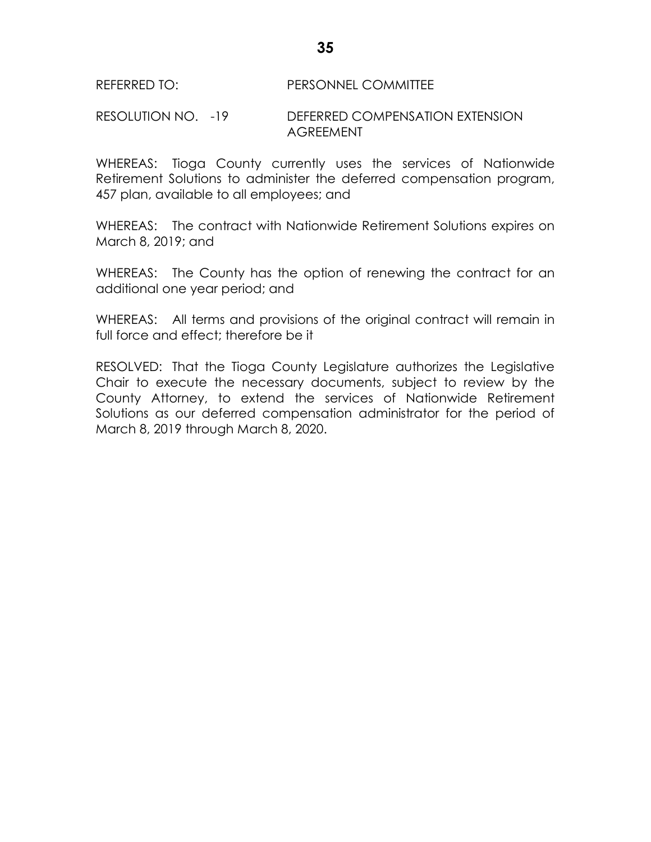#### REFERRED TO: PERSONNEL COMMITTEE

#### RESOLUTION NO. -19 DEFERRED COMPENSATION EXTENSION **AGREEMENT**

WHEREAS: Tioga County currently uses the services of Nationwide Retirement Solutions to administer the deferred compensation program, 457 plan, available to all employees; and

WHEREAS: The contract with Nationwide Retirement Solutions expires on March 8, 2019; and

WHEREAS: The County has the option of renewing the contract for an additional one year period; and

WHEREAS: All terms and provisions of the original contract will remain in full force and effect; therefore be it

RESOLVED: That the Tioga County Legislature authorizes the Legislative Chair to execute the necessary documents, subject to review by the County Attorney, to extend the services of Nationwide Retirement Solutions as our deferred compensation administrator for the period of March 8, 2019 through March 8, 2020.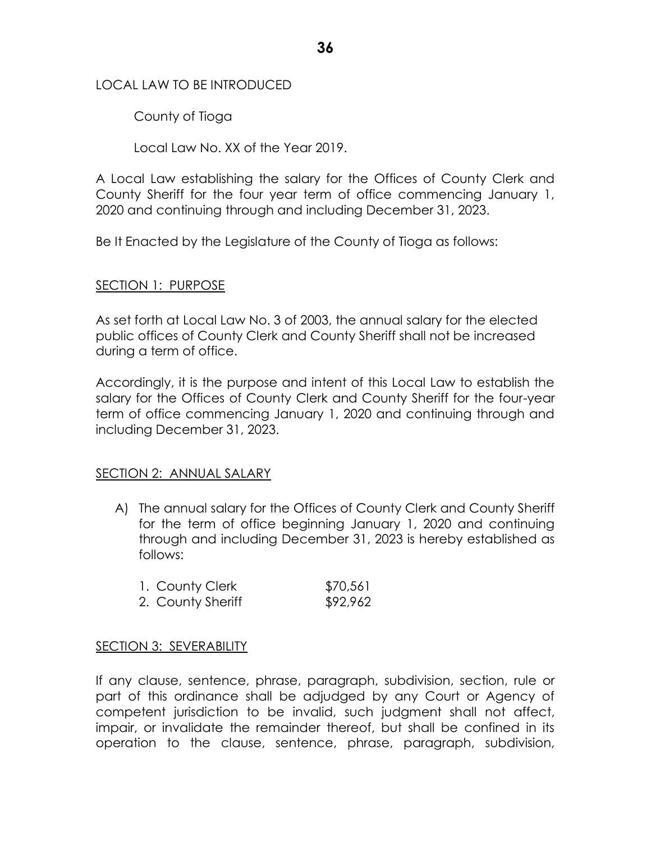## LOCAL LAW TO BE INTRODUCED

County of Tioga

Local Law No. XX of the Year 2019.

A Local Law establishing the salary for the Offices of County Clerk and County Sheriff for the four year term of office commencing January 1, 2020 and continuing through and including December 31, 2023.

Be It Enacted by the Legislature of the County of Tioga as follows:

# SECTION 1: PURPOSE

As set forth at Local Law No. 3 of 2003, the annual salary for the elected public offices of County Clerk and County Sheriff shall not be increased during a term of office.

Accordingly, it is the purpose and intent of this Local Law to establish the salary for the Offices of County Clerk and County Sheriff for the four-year term of office commencing January 1, 2020 and continuing through and including December 31, 2023.

# SECTION 2: ANNUAL SALARY

A) The annual salary for the Offices of County Clerk and County Sheriff for the term of office beginning January 1, 2020 and continuing through and including December 31, 2023 is hereby established as follows:

| 1. County Clerk   | \$70,561 |
|-------------------|----------|
| 2. County Sheriff | \$92,962 |

# SECTION 3: SEVERABILITY

If any clause, sentence, phrase, paragraph, subdivision, section, rule or part of this ordinance shall be adjudged by any Court or Agency of competent jurisdiction to be invalid, such judgment shall not affect, impair, or invalidate the remainder thereof, but shall be confined in its operation to the clause, sentence, phrase, paragraph, subdivision,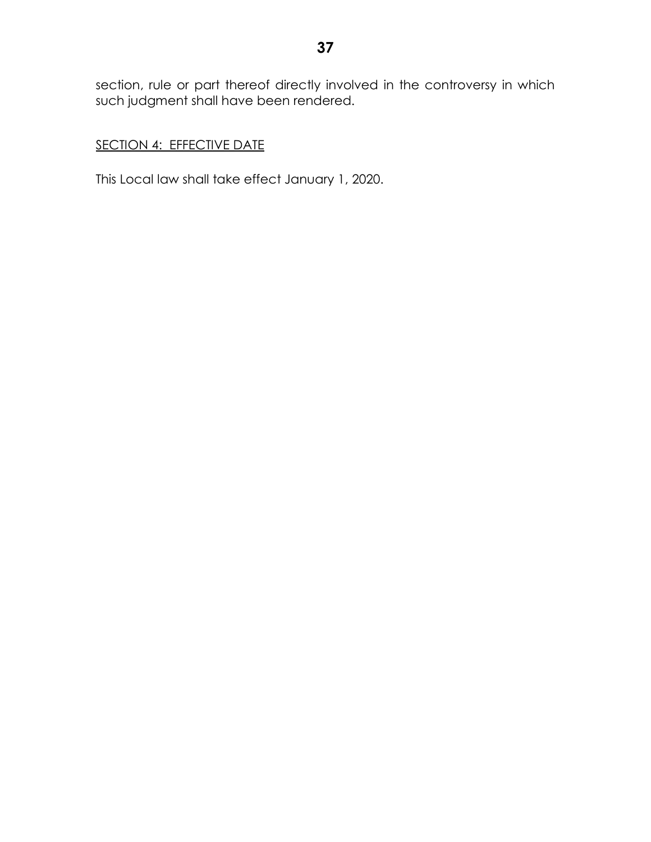section, rule or part thereof directly involved in the controversy in which such judgment shall have been rendered.

# SECTION 4: EFFECTIVE DATE

This Local law shall take effect January 1, 2020.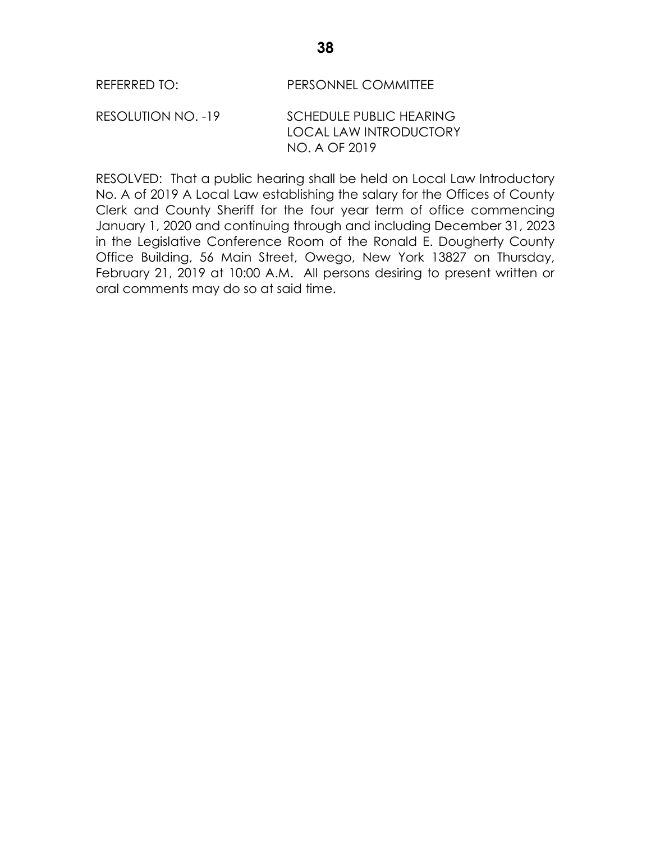RESOLUTION NO. -19 SCHEDULE PUBLIC HEARING LOCAL LAW INTRODUCTORY NO. A OF 2019

RESOLVED: That a public hearing shall be held on Local Law Introductory No. A of 2019 A Local Law establishing the salary for the Offices of County Clerk and County Sheriff for the four year term of office commencing January 1, 2020 and continuing through and including December 31, 2023 in the Legislative Conference Room of the Ronald E. Dougherty County Office Building, 56 Main Street, Owego, New York 13827 on Thursday, February 21, 2019 at 10:00 A.M. All persons desiring to present written or oral comments may do so at said time.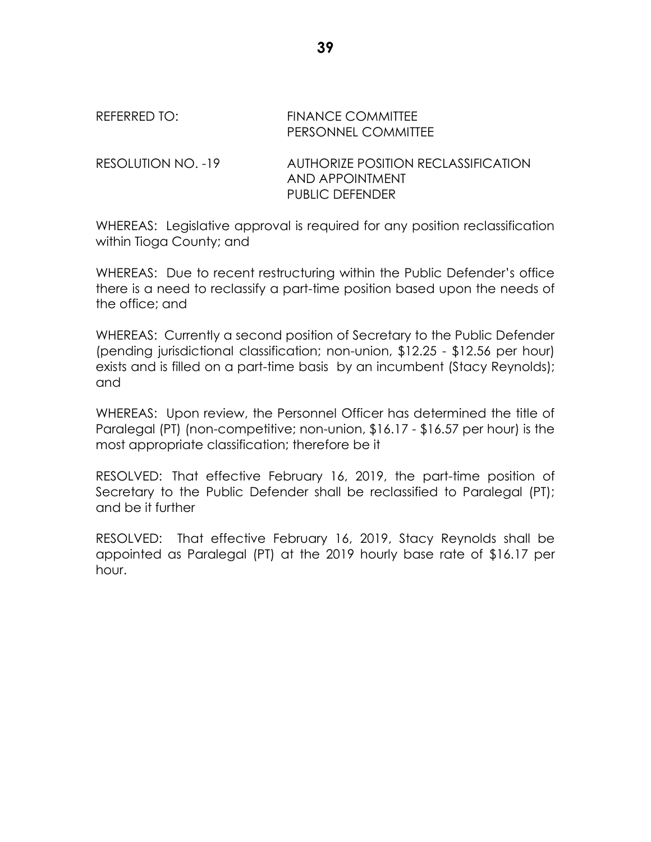#### REFERRED TO: FINANCE COMMITTEE PERSONNEL COMMITTEE

RESOLUTION NO. -19 AUTHORIZE POSITION RECLASSIFICATION AND APPOINTMENT PUBLIC DEFENDER

WHEREAS: Legislative approval is required for any position reclassification within Tioga County; and

WHEREAS: Due to recent restructuring within the Public Defender's office there is a need to reclassify a part-time position based upon the needs of the office; and

WHEREAS: Currently a second position of Secretary to the Public Defender (pending jurisdictional classification; non-union, \$12.25 - \$12.56 per hour) exists and is filled on a part-time basis by an incumbent (Stacy Reynolds); and

WHEREAS: Upon review, the Personnel Officer has determined the title of Paralegal (PT) (non-competitive; non-union, \$16.17 - \$16.57 per hour) is the most appropriate classification; therefore be it

RESOLVED: That effective February 16, 2019, the part-time position of Secretary to the Public Defender shall be reclassified to Paralegal (PT); and be it further

RESOLVED: That effective February 16, 2019, Stacy Reynolds shall be appointed as Paralegal (PT) at the 2019 hourly base rate of \$16.17 per hour.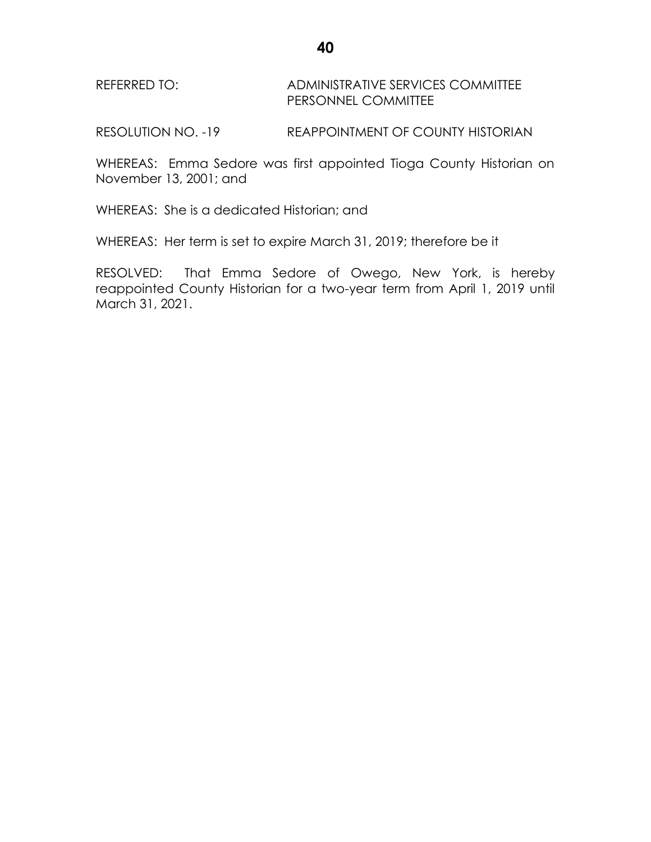REFERRED TO: ADMINISTRATIVE SERVICES COMMITTEE PERSONNEL COMMITTEE

RESOLUTION NO. -19 REAPPOINTMENT OF COUNTY HISTORIAN

WHEREAS: Emma Sedore was first appointed Tioga County Historian on November 13, 2001; and

WHEREAS: She is a dedicated Historian; and

WHEREAS: Her term is set to expire March 31, 2019; therefore be it

RESOLVED: That Emma Sedore of Owego, New York, is hereby reappointed County Historian for a two-year term from April 1, 2019 until March 31, 2021.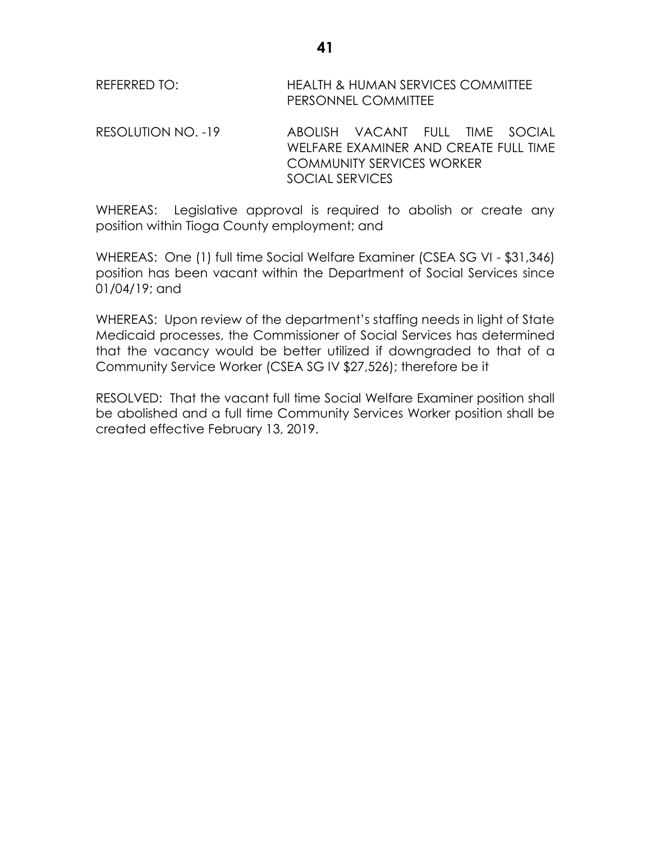REFERRED TO: HEALTH & HUMAN SERVICES COMMITTEE PERSONNEL COMMITTEE

RESOLUTION NO. -19 ABOLISH VACANT FULL TIME SOCIAL WELFARE EXAMINER AND CREATE FULL TIME COMMUNITY SERVICES WORKER SOCIAL SERVICES

WHEREAS: Legislative approval is required to abolish or create any position within Tioga County employment; and

WHEREAS: One (1) full time Social Welfare Examiner (CSEA SG VI - \$31,346) position has been vacant within the Department of Social Services since 01/04/19; and

WHEREAS: Upon review of the department's staffing needs in light of State Medicaid processes, the Commissioner of Social Services has determined that the vacancy would be better utilized if downgraded to that of a Community Service Worker (CSEA SG IV \$27,526); therefore be it

RESOLVED: That the vacant full time Social Welfare Examiner position shall be abolished and a full time Community Services Worker position shall be created effective February 13, 2019.